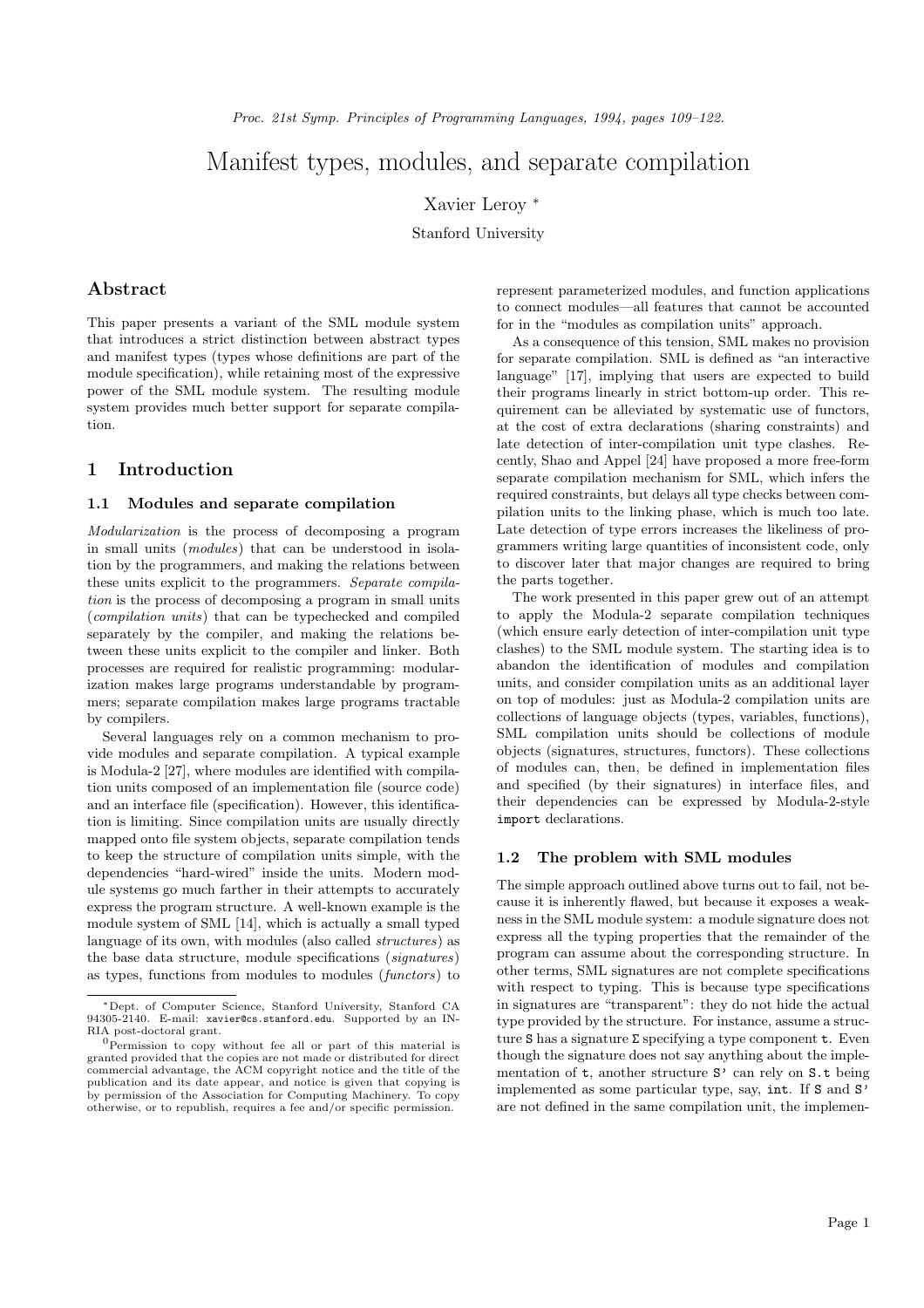# Manifest types, modules, and separate compilation

Xavier Leroy <sup>∗</sup>

Stanford University

# Abstract

This paper presents a variant of the SML module system that introduces a strict distinction between abstract types and manifest types (types whose definitions are part of the module specification), while retaining most of the expressive power of the SML module system. The resulting module system provides much better support for separate compilation.

# 1 Introduction

### 1.1 Modules and separate compilation

Modularization is the process of decomposing a program in small units (modules) that can be understood in isolation by the programmers, and making the relations between these units explicit to the programmers. Separate compilation is the process of decomposing a program in small units (compilation units) that can be typechecked and compiled separately by the compiler, and making the relations between these units explicit to the compiler and linker. Both processes are required for realistic programming: modularization makes large programs understandable by programmers; separate compilation makes large programs tractable by compilers.

Several languages rely on a common mechanism to provide modules and separate compilation. A typical example is Modula-2 [27], where modules are identified with compilation units composed of an implementation file (source code) and an interface file (specification). However, this identification is limiting. Since compilation units are usually directly mapped onto file system objects, separate compilation tends to keep the structure of compilation units simple, with the dependencies "hard-wired" inside the units. Modern module systems go much farther in their attempts to accurately express the program structure. A well-known example is the module system of SML [14], which is actually a small typed language of its own, with modules (also called structures) as the base data structure, module specifications (signatures) as types, functions from modules to modules (functors) to

represent parameterized modules, and function applications to connect modules—all features that cannot be accounted for in the "modules as compilation units" approach.

As a consequence of this tension, SML makes no provision for separate compilation. SML is defined as "an interactive language" [17], implying that users are expected to build their programs linearly in strict bottom-up order. This requirement can be alleviated by systematic use of functors, at the cost of extra declarations (sharing constraints) and late detection of inter-compilation unit type clashes. Recently, Shao and Appel [24] have proposed a more free-form separate compilation mechanism for SML, which infers the required constraints, but delays all type checks between compilation units to the linking phase, which is much too late. Late detection of type errors increases the likeliness of programmers writing large quantities of inconsistent code, only to discover later that major changes are required to bring the parts together.

The work presented in this paper grew out of an attempt to apply the Modula-2 separate compilation techniques (which ensure early detection of inter-compilation unit type clashes) to the SML module system. The starting idea is to abandon the identification of modules and compilation units, and consider compilation units as an additional layer on top of modules: just as Modula-2 compilation units are collections of language objects (types, variables, functions), SML compilation units should be collections of module objects (signatures, structures, functors). These collections of modules can, then, be defined in implementation files and specified (by their signatures) in interface files, and their dependencies can be expressed by Modula-2-style import declarations.

### 1.2 The problem with SML modules

The simple approach outlined above turns out to fail, not because it is inherently flawed, but because it exposes a weakness in the SML module system: a module signature does not express all the typing properties that the remainder of the program can assume about the corresponding structure. In other terms, SML signatures are not complete specifications with respect to typing. This is because type specifications in signatures are "transparent": they do not hide the actual type provided by the structure. For instance, assume a structure  ${\tt S}$  has a signature  $\Sigma$  specifying a type component  ${\tt t}.$  Even though the signature does not say anything about the implementation of t, another structure  $S'$  can rely on  $S.t$  being implemented as some particular type, say, int. If S and S' are not defined in the same compilation unit, the implemen-

<sup>∗</sup>Dept. of Computer Science, Stanford University, Stanford CA 94305-2140. E-mail: xavier@cs.stanford.edu. Supported by an IN-RIA post-doctoral grant.

 ${}^{0}$ Permission to copy without fee all or part of this material is granted provided that the copies are not made or distributed for direct commercial advantage, the ACM copyright notice and the title of the publication and its date appear, and notice is given that copying is by permission of the Association for Computing Machinery. To copy otherwise, or to republish, requires a fee and/or specific permission.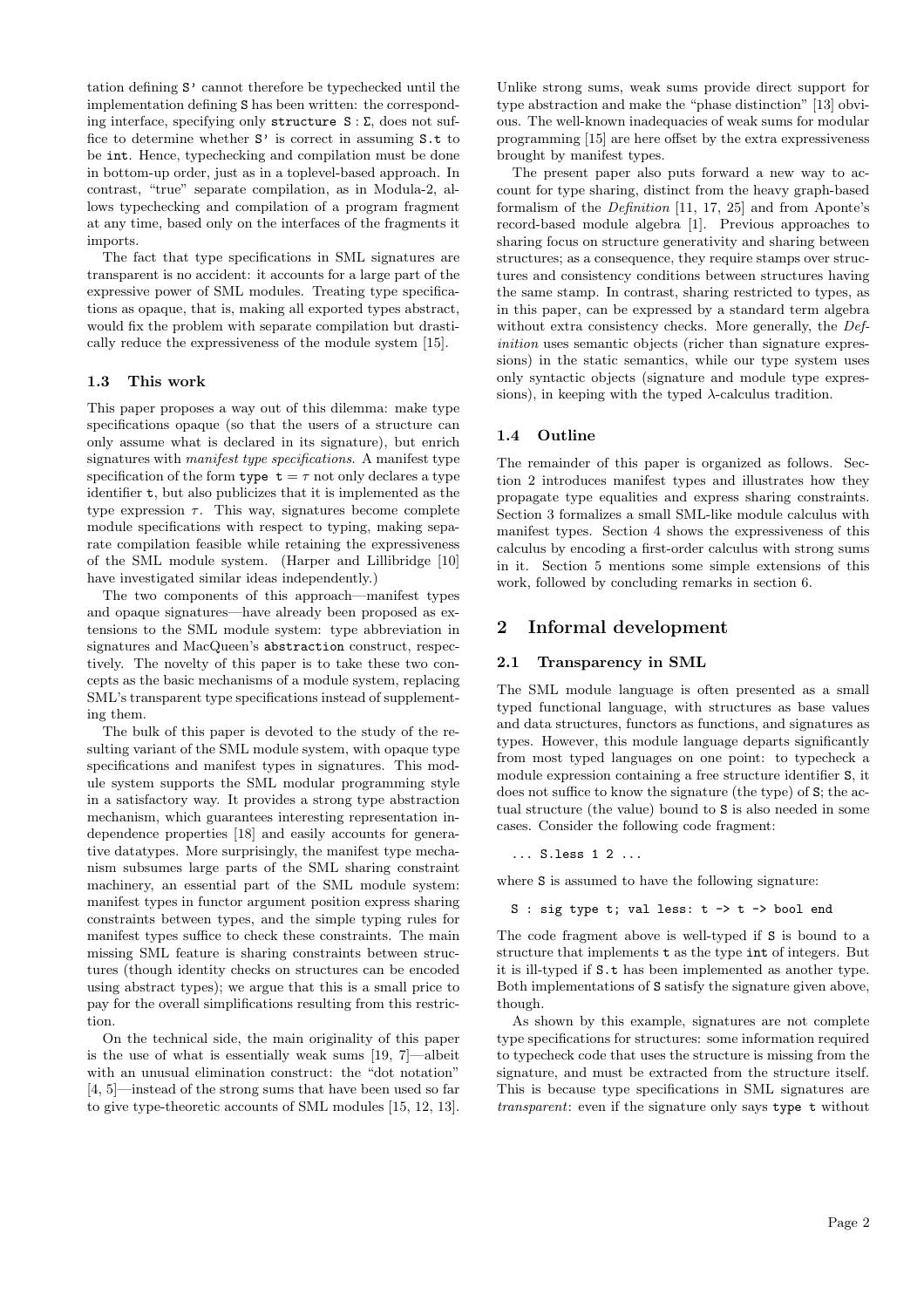tation defining S' cannot therefore be typechecked until the implementation defining S has been written: the corresponding interface, specifying only structure  $S : \Sigma$ , does not suffice to determine whether S' is correct in assuming S.t to be int. Hence, typechecking and compilation must be done in bottom-up order, just as in a toplevel-based approach. In contrast, "true" separate compilation, as in Modula-2, allows typechecking and compilation of a program fragment at any time, based only on the interfaces of the fragments it imports.

The fact that type specifications in SML signatures are transparent is no accident: it accounts for a large part of the expressive power of SML modules. Treating type specifications as opaque, that is, making all exported types abstract, would fix the problem with separate compilation but drastically reduce the expressiveness of the module system [15].

### 1.3 This work

This paper proposes a way out of this dilemma: make type specifications opaque (so that the users of a structure can only assume what is declared in its signature), but enrich signatures with *manifest type specifications*. A manifest type specification of the form type  $t = \tau$  not only declares a type identifier t, but also publicizes that it is implemented as the type expression  $\tau$ . This way, signatures become complete module specifications with respect to typing, making separate compilation feasible while retaining the expressiveness of the SML module system. (Harper and Lillibridge [10] have investigated similar ideas independently.)

The two components of this approach—manifest types and opaque signatures—have already been proposed as extensions to the SML module system: type abbreviation in signatures and MacQueen's abstraction construct, respectively. The novelty of this paper is to take these two concepts as the basic mechanisms of a module system, replacing SML's transparent type specifications instead of supplementing them.

The bulk of this paper is devoted to the study of the resulting variant of the SML module system, with opaque type specifications and manifest types in signatures. This module system supports the SML modular programming style in a satisfactory way. It provides a strong type abstraction mechanism, which guarantees interesting representation independence properties [18] and easily accounts for generative datatypes. More surprisingly, the manifest type mechanism subsumes large parts of the SML sharing constraint machinery, an essential part of the SML module system: manifest types in functor argument position express sharing constraints between types, and the simple typing rules for manifest types suffice to check these constraints. The main missing SML feature is sharing constraints between structures (though identity checks on structures can be encoded using abstract types); we argue that this is a small price to pay for the overall simplifications resulting from this restriction.

On the technical side, the main originality of this paper is the use of what is essentially weak sums [19, 7]—albeit with an unusual elimination construct: the "dot notation" [4, 5]—instead of the strong sums that have been used so far to give type-theoretic accounts of SML modules [15, 12, 13].

Unlike strong sums, weak sums provide direct support for type abstraction and make the "phase distinction" [13] obvious. The well-known inadequacies of weak sums for modular programming [15] are here offset by the extra expressiveness brought by manifest types.

The present paper also puts forward a new way to account for type sharing, distinct from the heavy graph-based formalism of the Definition [11, 17, 25] and from Aponte's record-based module algebra [1]. Previous approaches to sharing focus on structure generativity and sharing between structures; as a consequence, they require stamps over structures and consistency conditions between structures having the same stamp. In contrast, sharing restricted to types, as in this paper, can be expressed by a standard term algebra without extra consistency checks. More generally, the Definition uses semantic objects (richer than signature expressions) in the static semantics, while our type system uses only syntactic objects (signature and module type expressions), in keeping with the typed  $\lambda$ -calculus tradition.

### 1.4 Outline

The remainder of this paper is organized as follows. Section 2 introduces manifest types and illustrates how they propagate type equalities and express sharing constraints. Section 3 formalizes a small SML-like module calculus with manifest types. Section 4 shows the expressiveness of this calculus by encoding a first-order calculus with strong sums in it. Section 5 mentions some simple extensions of this work, followed by concluding remarks in section 6.

### 2 Informal development

### 2.1 Transparency in SML

The SML module language is often presented as a small typed functional language, with structures as base values and data structures, functors as functions, and signatures as types. However, this module language departs significantly from most typed languages on one point: to typecheck a module expression containing a free structure identifier S, it does not suffice to know the signature (the type) of S; the actual structure (the value) bound to S is also needed in some cases. Consider the following code fragment:

... S.less 1 2 ...

where S is assumed to have the following signature:

S : sig type t; val less: t -> t -> bool end

The code fragment above is well-typed if S is bound to a structure that implements t as the type int of integers. But it is ill-typed if S.t has been implemented as another type. Both implementations of S satisfy the signature given above, though.

As shown by this example, signatures are not complete type specifications for structures: some information required to typecheck code that uses the structure is missing from the signature, and must be extracted from the structure itself. This is because type specifications in SML signatures are transparent: even if the signature only says type t without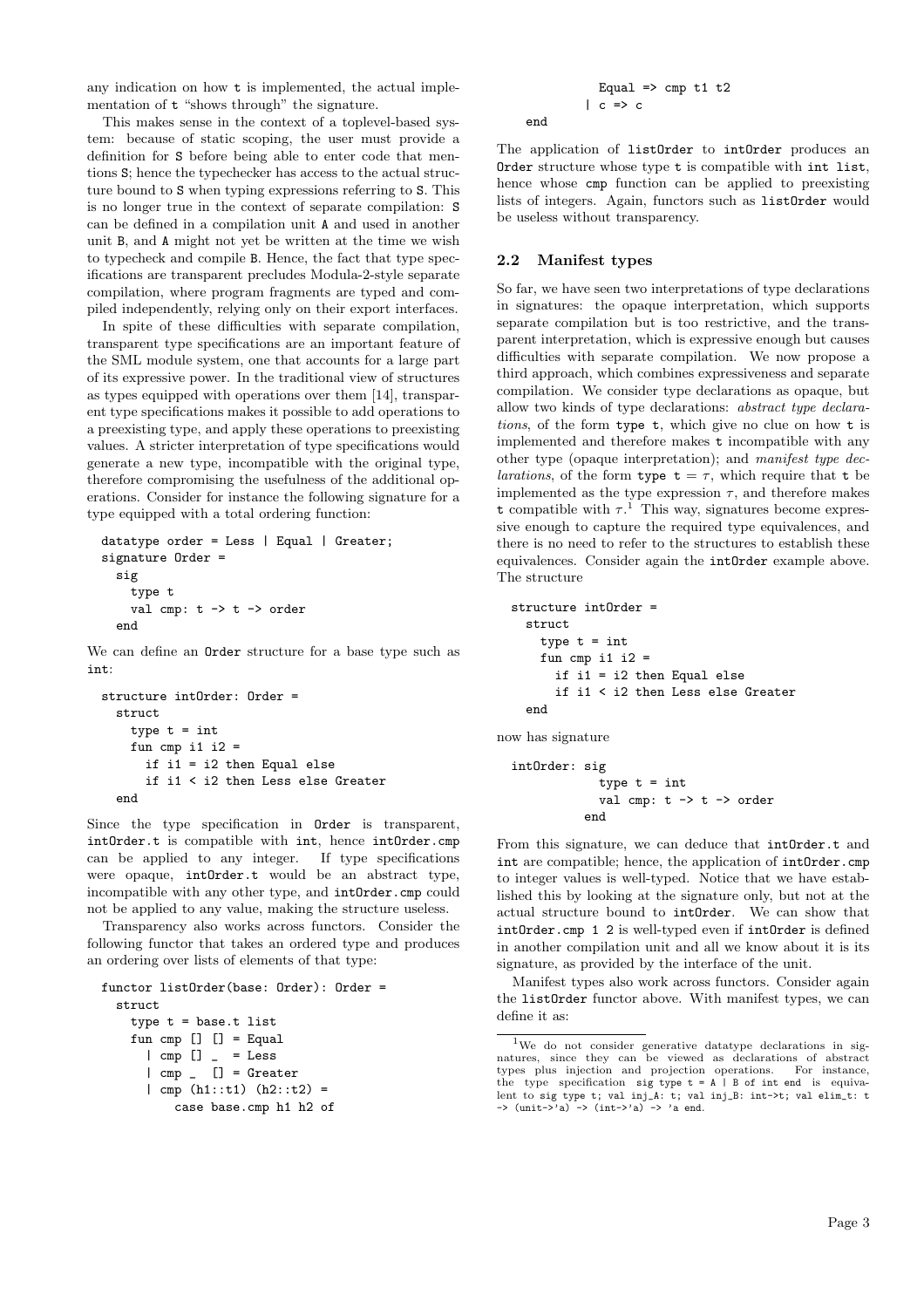any indication on how t is implemented, the actual implementation of t "shows through" the signature.

This makes sense in the context of a toplevel-based system: because of static scoping, the user must provide a definition for S before being able to enter code that mentions S; hence the typechecker has access to the actual structure bound to S when typing expressions referring to S. This is no longer true in the context of separate compilation: S can be defined in a compilation unit A and used in another unit B, and A might not yet be written at the time we wish to typecheck and compile B. Hence, the fact that type specifications are transparent precludes Modula-2-style separate compilation, where program fragments are typed and compiled independently, relying only on their export interfaces.

In spite of these difficulties with separate compilation, transparent type specifications are an important feature of the SML module system, one that accounts for a large part of its expressive power. In the traditional view of structures as types equipped with operations over them [14], transparent type specifications makes it possible to add operations to a preexisting type, and apply these operations to preexisting values. A stricter interpretation of type specifications would generate a new type, incompatible with the original type, therefore compromising the usefulness of the additional operations. Consider for instance the following signature for a type equipped with a total ordering function:

```
datatype order = Less | Equal | Greater;
signature Order =
  sig
    type t
    val cmp: t \rightarrow t \rightarrow order
  end
```
We can define an Order structure for a base type such as int:

```
structure intOrder: Order =
 struct
   type t = intfun cmp i1 i2 =
      if i1 = i2 then Equal else
      if i1 < i2 then Less else Greater
 end
```
Since the type specification in Order is transparent, intOrder.t is compatible with int, hence intOrder.cmp can be applied to any integer. If type specifications were opaque, intOrder.t would be an abstract type, incompatible with any other type, and intOrder.cmp could not be applied to any value, making the structure useless.

Transparency also works across functors. Consider the following functor that takes an ordered type and produces an ordering over lists of elements of that type:

```
functor listOrder(base: Order): Order =
  struct
    type t = base.t list
    fun cmp [] [] = Equal
      | cmp [] = Less
      \lceil cmp \lceil \lceil = Greater
      | cmp (h1::t1) (h2::t2) =
          case base.cmp h1 h2 of
```

```
Equal \Rightarrow cmp t1 t2
| c \Rightarrow c
```
The application of listOrder to intOrder produces an Order structure whose type t is compatible with int list, hence whose cmp function can be applied to preexisting lists of integers. Again, functors such as listOrder would be useless without transparency.

### 2.2 Manifest types

end

So far, we have seen two interpretations of type declarations in signatures: the opaque interpretation, which supports separate compilation but is too restrictive, and the transparent interpretation, which is expressive enough but causes difficulties with separate compilation. We now propose a third approach, which combines expressiveness and separate compilation. We consider type declarations as opaque, but allow two kinds of type declarations: abstract type declarations, of the form type t, which give no clue on how t is implemented and therefore makes t incompatible with any other type (opaque interpretation); and manifest type dec*larations*, of the form type  $t = \tau$ , which require that t be implemented as the type expression  $\tau$ , and therefore makes t compatible with  $\tau$ <sup>1</sup>. This way, signatures become expressive enough to capture the required type equivalences, and there is no need to refer to the structures to establish these equivalences. Consider again the intOrder example above. The structure

```
structure intOrder =
 struct
   type t = intfun cmp i1 i2 =
      if i1 = i2 then Equal else
      if i1 < i2 then Less else Greater
  end
```
now has signature

```
intOrder: sig
               type t = intval cmp: t \rightarrow t \rightarrow order
             end
```
From this signature, we can deduce that intOrder.t and int are compatible; hence, the application of intOrder.cmp to integer values is well-typed. Notice that we have established this by looking at the signature only, but not at the actual structure bound to intOrder. We can show that intOrder.cmp 1 2 is well-typed even if intOrder is defined in another compilation unit and all we know about it is its signature, as provided by the interface of the unit.

Manifest types also work across functors. Consider again the listOrder functor above. With manifest types, we can define it as:

<sup>1</sup>We do not consider generative datatype declarations in signatures, since they can be viewed as declarations of abstract types plus injection and projection operations. For instance, the type specification sig type  $t = A \mid B$  of int end is equiva-<br>lent to sig type t; val inj\_A: t; val inj\_B: int->t; val elim\_t: t<br>-> (unit->'a) -> (int->'a) -> 'a end.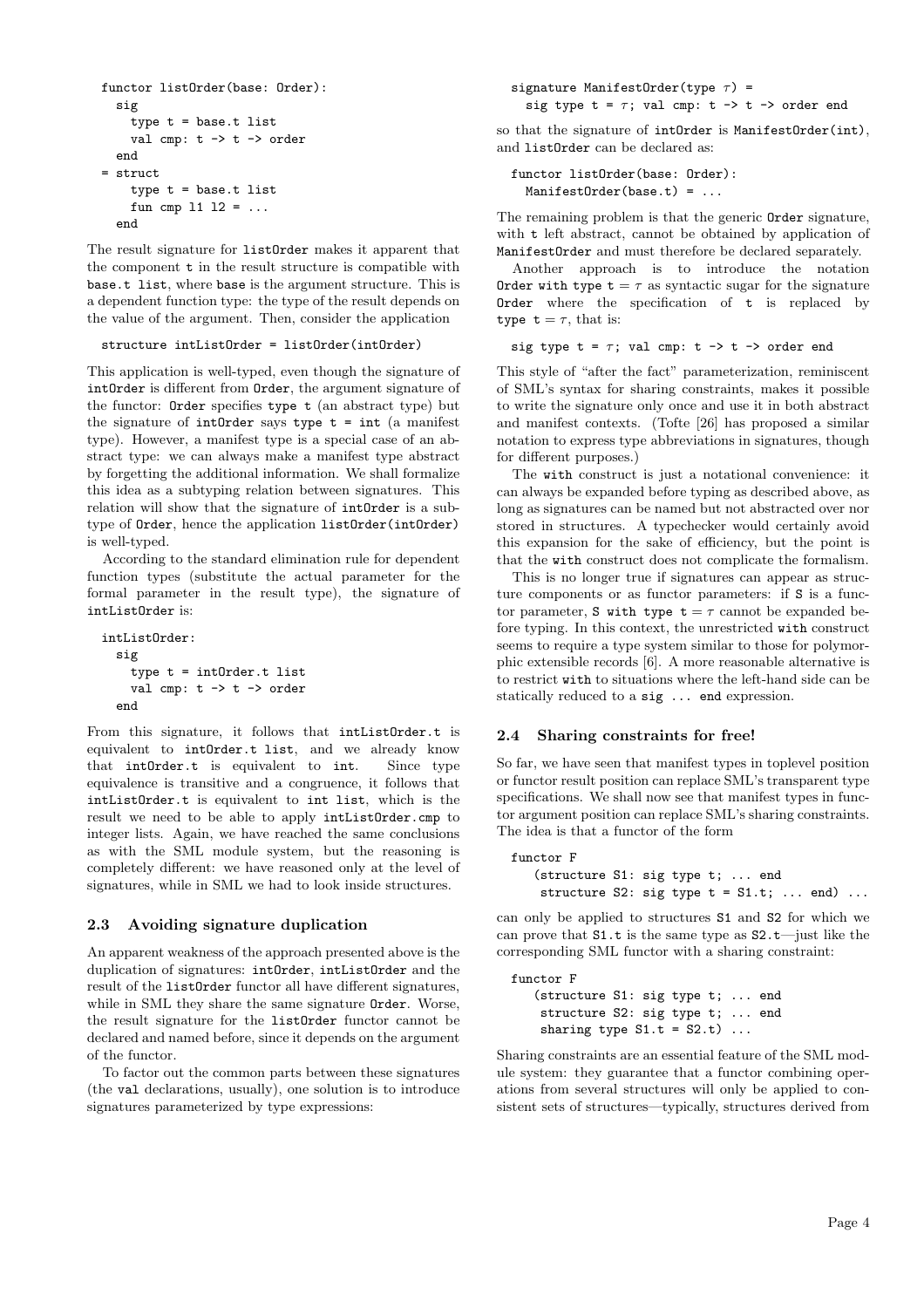```
functor listOrder(base: Order):
  sig
    type t = base.t list
    val cmp: t \rightarrow t \rightarrow order
  end
= struct
    type t = base.t list
    fun cmp 11 12 = ...
  end
```
The result signature for listOrder makes it apparent that the component t in the result structure is compatible with base.t list, where base is the argument structure. This is a dependent function type: the type of the result depends on the value of the argument. Then, consider the application

#### structure intListOrder = listOrder(intOrder)

This application is well-typed, even though the signature of intOrder is different from Order, the argument signature of the functor: Order specifies type t (an abstract type) but the signature of  $intOrder$  says type  $t = int$  (a manifest type). However, a manifest type is a special case of an abstract type: we can always make a manifest type abstract by forgetting the additional information. We shall formalize this idea as a subtyping relation between signatures. This relation will show that the signature of intOrder is a subtype of Order, hence the application listOrder(intOrder) is well-typed.

According to the standard elimination rule for dependent function types (substitute the actual parameter for the formal parameter in the result type), the signature of intListOrder is:

```
intListOrder:
  sig
     type t = intOrder.t list
     val cmp: t \rightarrow t \rightarrow order
  end
```
From this signature, it follows that intListOrder.t is equivalent to intOrder.t list, and we already know that intOrder.t is equivalent to int. Since type equivalence is transitive and a congruence, it follows that intListOrder.t is equivalent to int list, which is the result we need to be able to apply intListOrder.cmp to integer lists. Again, we have reached the same conclusions as with the SML module system, but the reasoning is completely different: we have reasoned only at the level of signatures, while in SML we had to look inside structures.

### 2.3 Avoiding signature duplication

An apparent weakness of the approach presented above is the duplication of signatures: intOrder, intListOrder and the result of the listOrder functor all have different signatures, while in SML they share the same signature Order. Worse, the result signature for the listOrder functor cannot be declared and named before, since it depends on the argument of the functor.

To factor out the common parts between these signatures (the val declarations, usually), one solution is to introduce signatures parameterized by type expressions:

signature ManifestOrder(type  $\tau$ ) = sig type  $t = \tau$ ; val cmp:  $t \rightarrow t \rightarrow$  order end

so that the signature of intOrder is ManifestOrder(int), and listOrder can be declared as:

```
functor listOrder(base: Order):
 ManifestOrder(base.t) = ...
```
The remaining problem is that the generic Order signature, with **t** left abstract, cannot be obtained by application of ManifestOrder and must therefore be declared separately.

Another approach is to introduce the notation Order with type  $t = \tau$  as syntactic sugar for the signature Order where the specification of  $t$  is replaced by type  $t = \tau$ , that is:

```
sig type t = \tau; val cmp: t \rightarrow t \rightarrow order end
```
This style of "after the fact" parameterization, reminiscent of SML's syntax for sharing constraints, makes it possible to write the signature only once and use it in both abstract and manifest contexts. (Tofte [26] has proposed a similar notation to express type abbreviations in signatures, though for different purposes.)

The with construct is just a notational convenience: it can always be expanded before typing as described above, as long as signatures can be named but not abstracted over nor stored in structures. A typechecker would certainly avoid this expansion for the sake of efficiency, but the point is that the with construct does not complicate the formalism.

This is no longer true if signatures can appear as structure components or as functor parameters: if S is a functor parameter, S with type  $t = \tau$  cannot be expanded before typing. In this context, the unrestricted with construct seems to require a type system similar to those for polymorphic extensible records [6]. A more reasonable alternative is to restrict with to situations where the left-hand side can be statically reduced to a sig ... end expression.

#### 2.4 Sharing constraints for free!

So far, we have seen that manifest types in toplevel position or functor result position can replace SML's transparent type specifications. We shall now see that manifest types in functor argument position can replace SML's sharing constraints. The idea is that a functor of the form

```
functor F
   (structure S1: sig type t; ... end
   structure S2: sig type t = S1.t; ... end) ...
```
can only be applied to structures S1 and S2 for which we can prove that S1.t is the same type as S2.t—just like the corresponding SML functor with a sharing constraint:

functor F (structure S1: sig type t; ... end structure S2: sig type t; ... end sharing type  $S1.t = S2.t$ ) ...

Sharing constraints are an essential feature of the SML module system: they guarantee that a functor combining operations from several structures will only be applied to consistent sets of structures—typically, structures derived from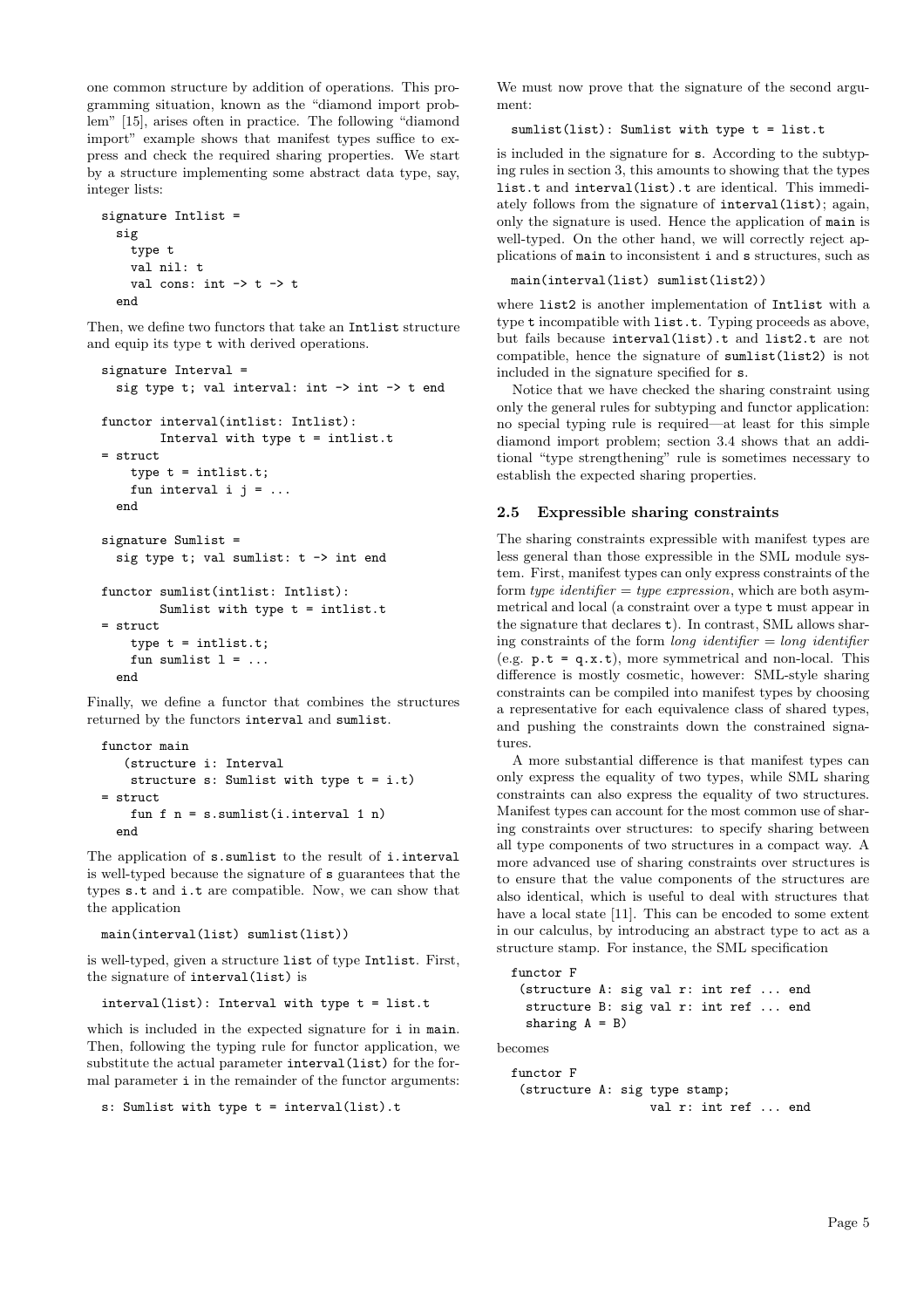one common structure by addition of operations. This programming situation, known as the "diamond import problem" [15], arises often in practice. The following "diamond import" example shows that manifest types suffice to express and check the required sharing properties. We start by a structure implementing some abstract data type, say, integer lists:

```
signature Intlist =
  sig
     type t
     val nil: t
     val cons: int \rightarrow t \rightarrow t
  end
```
Then, we define two functors that take an Intlist structure and equip its type t with derived operations.

```
signature Interval =
  sig type t; val interval: int \rightarrow int \rightarrow t end
functor interval(intlist: Intlist):
        Interval with type t = intlist.t
= struct
    type t = intlist.t;
    fun interval i j = ...end
signature Sumlist =
  sig type t; val sumlist: t \rightarrow int end
functor sumlist(intlist: Intlist):
        Sumlist with type t = intlist.t
= struct
    type t = intlist.t;
    fun sumlist l = ...end
```
Finally, we define a functor that combines the structures returned by the functors interval and sumlist.

```
functor main
   (structure i: Interval
   structure s: Sumlist with type t = i.t)
= struct
   fun f n = s.sumlist(i.interval 1 n)
 end
```
The application of s.sumlist to the result of i.interval is well-typed because the signature of s guarantees that the types s.t and i.t are compatible. Now, we can show that the application

```
main(interval(list) sumlist(list))
```
is well-typed, given a structure list of type Intlist. First, the signature of interval(list) is

interval(list): Interval with type t = list.t

which is included in the expected signature for *i* in main. Then, following the typing rule for functor application, we substitute the actual parameter interval(list) for the formal parameter i in the remainder of the functor arguments:

```
s: Sumlist with type t = interval(list).t
```
We must now prove that the signature of the second argument:

sumlist(list): Sumlist with type t = list.t

is included in the signature for s. According to the subtyping rules in section 3, this amounts to showing that the types list.t and interval(list).t are identical. This immediately follows from the signature of interval(list); again, only the signature is used. Hence the application of main is well-typed. On the other hand, we will correctly reject applications of main to inconsistent i and s structures, such as

### main(interval(list) sumlist(list2))

where list2 is another implementation of Intlist with a type t incompatible with list.t. Typing proceeds as above, but fails because interval(list).t and list2.t are not compatible, hence the signature of sumlist(list2) is not included in the signature specified for s.

Notice that we have checked the sharing constraint using only the general rules for subtyping and functor application: no special typing rule is required—at least for this simple diamond import problem; section 3.4 shows that an additional "type strengthening" rule is sometimes necessary to establish the expected sharing properties.

### 2.5 Expressible sharing constraints

The sharing constraints expressible with manifest types are less general than those expressible in the SML module system. First, manifest types can only express constraints of the form type identifier  $=$  type expression, which are both asymmetrical and local (a constraint over a type t must appear in the signature that declares t). In contrast, SML allows sharing constraints of the form *long identifier*  $=$  *long identifier* (e.g.  $p.t = q.x.t$ ), more symmetrical and non-local. This difference is mostly cosmetic, however: SML-style sharing constraints can be compiled into manifest types by choosing a representative for each equivalence class of shared types, and pushing the constraints down the constrained signatures.

A more substantial difference is that manifest types can only express the equality of two types, while SML sharing constraints can also express the equality of two structures. Manifest types can account for the most common use of sharing constraints over structures: to specify sharing between all type components of two structures in a compact way. A more advanced use of sharing constraints over structures is to ensure that the value components of the structures are also identical, which is useful to deal with structures that have a local state [11]. This can be encoded to some extent in our calculus, by introducing an abstract type to act as a structure stamp. For instance, the SML specification

```
functor F
 (structure A: sig val r: int ref ... end
  structure B: sig val r: int ref ... end
 sharing A = B)
```
becomes

```
functor F
 (structure A: sig type stamp;
                   val r: int ref ... end
```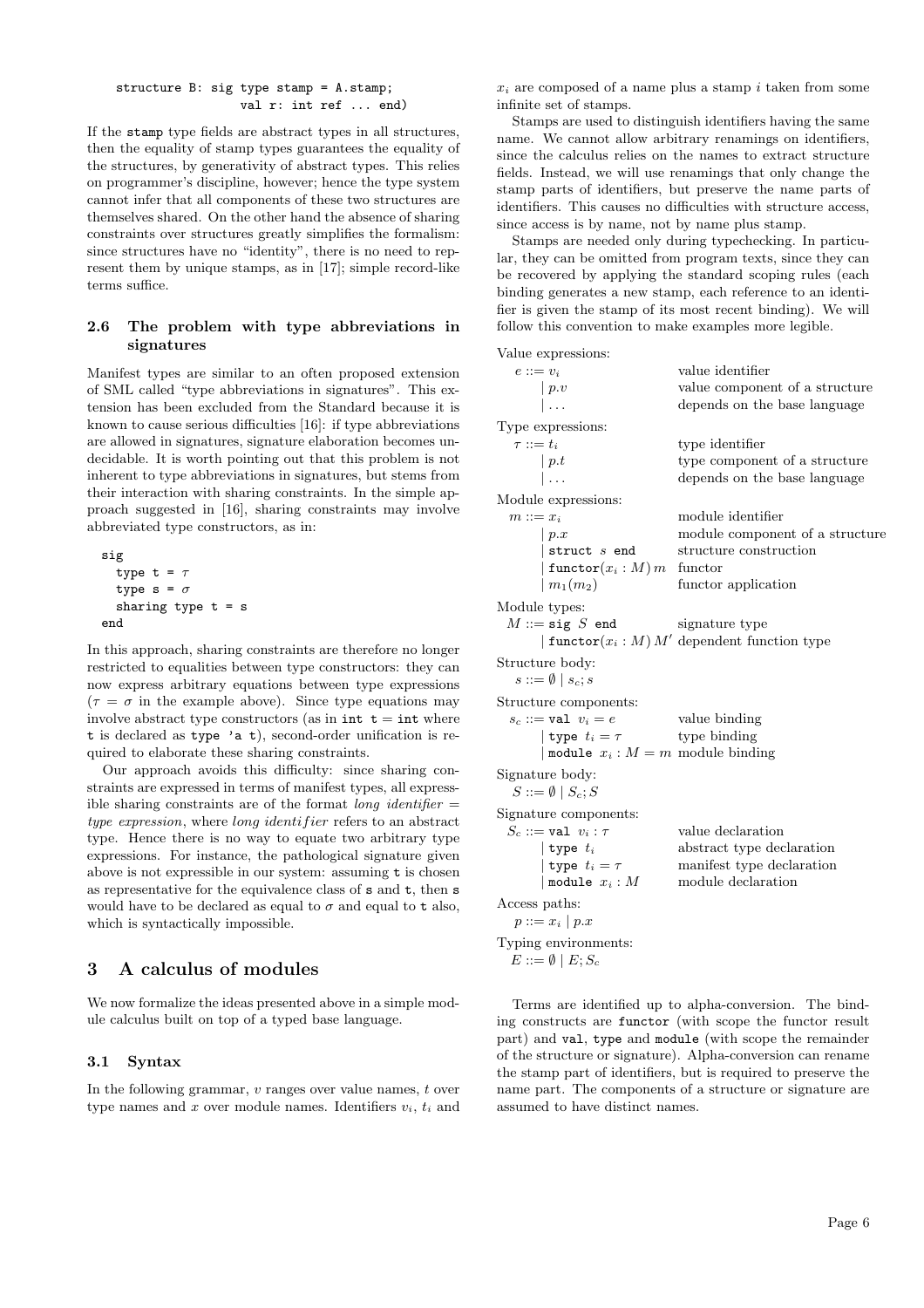structure B: sig type stamp = A.stamp; val r: int ref ... end)

If the stamp type fields are abstract types in all structures, then the equality of stamp types guarantees the equality of the structures, by generativity of abstract types. This relies on programmer's discipline, however; hence the type system cannot infer that all components of these two structures are themselves shared. On the other hand the absence of sharing constraints over structures greatly simplifies the formalism: since structures have no "identity", there is no need to represent them by unique stamps, as in [17]; simple record-like terms suffice.

### 2.6 The problem with type abbreviations in signatures

Manifest types are similar to an often proposed extension of SML called "type abbreviations in signatures". This extension has been excluded from the Standard because it is known to cause serious difficulties [16]: if type abbreviations are allowed in signatures, signature elaboration becomes undecidable. It is worth pointing out that this problem is not inherent to type abbreviations in signatures, but stems from their interaction with sharing constraints. In the simple approach suggested in [16], sharing constraints may involve abbreviated type constructors, as in:

```
\n
$$
\text{sig}\quad \text{type } t = \tau\n \text{type } s = \sigma\n \text{ sharing type } t = s\n \text{end}\n
$$
\n
```

In this approach, sharing constraints are therefore no longer restricted to equalities between type constructors: they can now express arbitrary equations between type expressions  $(\tau = \sigma$  in the example above). Since type equations may involve abstract type constructors (as in  $int t = int$  where t is declared as type 'a t), second-order unification is required to elaborate these sharing constraints.

Our approach avoids this difficulty: since sharing constraints are expressed in terms of manifest types, all expressible sharing constraints are of the format *long identifier*  $=$ type expression, where long identifier refers to an abstract type. Hence there is no way to equate two arbitrary type expressions. For instance, the pathological signature given above is not expressible in our system: assuming t is chosen as representative for the equivalence class of s and t, then s would have to be declared as equal to  $\sigma$  and equal to t also, which is syntactically impossible.

# 3 A calculus of modules

We now formalize the ideas presented above in a simple module calculus built on top of a typed base language.

### 3.1 Syntax

In the following grammar, v ranges over value names, t over type names and x over module names. Identifiers  $v_i$ ,  $t_i$  and

 $x_i$  are composed of a name plus a stamp i taken from some infinite set of stamps.

Stamps are used to distinguish identifiers having the same name. We cannot allow arbitrary renamings on identifiers, since the calculus relies on the names to extract structure fields. Instead, we will use renamings that only change the stamp parts of identifiers, but preserve the name parts of identifiers. This causes no difficulties with structure access, since access is by name, not by name plus stamp.

Stamps are needed only during typechecking. In particular, they can be omitted from program texts, since they can be recovered by applying the standard scoping rules (each binding generates a new stamp, each reference to an identifier is given the stamp of its most recent binding). We will follow this convention to make examples more legible.

Value expressions:

| $e ::= v_i$                           | value identifier                                     |
|---------------------------------------|------------------------------------------------------|
| p.v                                   | value component of a structure                       |
| ∣                                     | depends on the base language                         |
| Type expressions:                     |                                                      |
| $\tau ::= t_i$                        | type identifier                                      |
| p.t                                   | type component of a structure                        |
| l                                     | depends on the base language                         |
| Module expressions:                   |                                                      |
| $m ::= x_i$                           | module identifier                                    |
| p.x                                   | module component of a structure                      |
| struct $s$ end                        | structure construction                               |
| $ \: {\tt functor}(x_i:M) \, m \:  $  | functor                                              |
| $\mid m_1(m_2)\mid$                   | functor application                                  |
| Module types:                         |                                                      |
| $M ::=$ sig $S$ end                   | signature type                                       |
|                                       | $\text{functor}(x_i : M) M'$ dependent function type |
| Structure body:                       |                                                      |
| $s ::= \emptyset \mid s_c; s$         |                                                      |
| Structure components:                 |                                                      |
| $s_c ::= \texttt{val} \ \ v_i = e$    | value binding                                        |
| type $t_i = \tau$ type binding        |                                                      |
| nodule $x_i : M = m$ module binding   |                                                      |
| Signature body:                       |                                                      |
| $S ::= \emptyset \mid S_c; S$         |                                                      |
| Signature components:                 |                                                      |
| $S_c ::= \mathtt{val} \ \ v_i : \tau$ | value declaration                                    |
| type $t_i$                            | abstract type declaration                            |
| type $t_i = \tau$                     | manifest type declaration                            |
| module $x_i : M$                      | module declaration                                   |
| Access paths:                         |                                                      |
| $p ::= x_i   p.x$                     |                                                      |
| Typing environments:                  |                                                      |
| $E ::= \emptyset \mid E; S_c$         |                                                      |

Terms are identified up to alpha-conversion. The binding constructs are functor (with scope the functor result part) and val, type and module (with scope the remainder of the structure or signature). Alpha-conversion can rename the stamp part of identifiers, but is required to preserve the name part. The components of a structure or signature are assumed to have distinct names.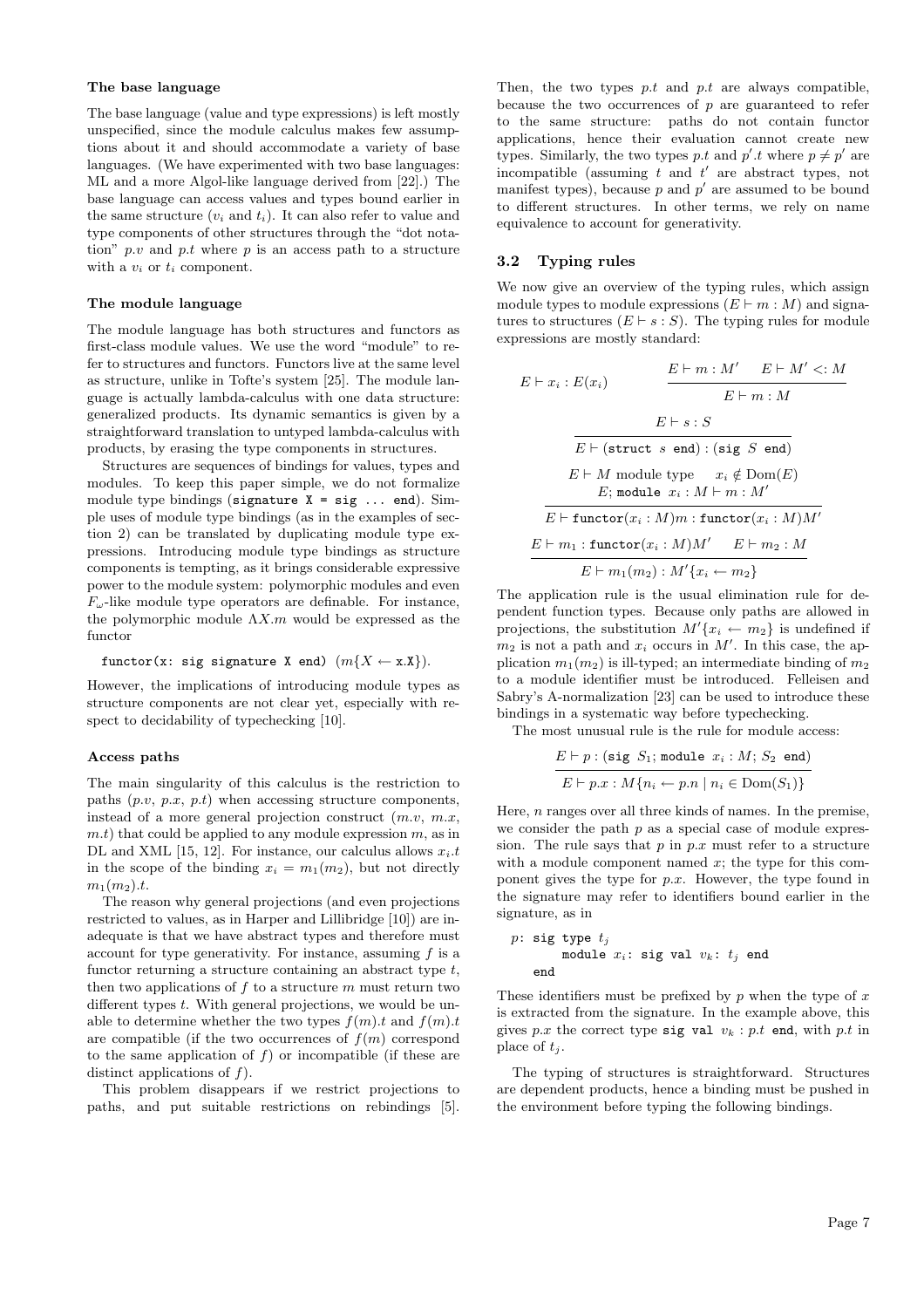#### The base language

The base language (value and type expressions) is left mostly unspecified, since the module calculus makes few assumptions about it and should accommodate a variety of base languages. (We have experimented with two base languages: ML and a more Algol-like language derived from [22].) The base language can access values and types bound earlier in the same structure  $(v_i \text{ and } t_i)$ . It can also refer to value and type components of other structures through the "dot notation"  $p.v$  and  $p.t$  where  $p$  is an access path to a structure with a  $v_i$  or  $t_i$  component.

#### The module language

The module language has both structures and functors as first-class module values. We use the word "module" to refer to structures and functors. Functors live at the same level as structure, unlike in Tofte's system [25]. The module language is actually lambda-calculus with one data structure: generalized products. Its dynamic semantics is given by a straightforward translation to untyped lambda-calculus with products, by erasing the type components in structures.

Structures are sequences of bindings for values, types and modules. To keep this paper simple, we do not formalize module type bindings (signature  $X = sig \dots end$ ). Simple uses of module type bindings (as in the examples of section 2) can be translated by duplicating module type expressions. Introducing module type bindings as structure components is tempting, as it brings considerable expressive power to the module system: polymorphic modules and even  $F_{\omega}$ -like module type operators are definable. For instance, the polymorphic module  $\Lambda X$ .m would be expressed as the functor

$$
functor(x: sig signature X end) (m{X \leftarrow x.X}).
$$

However, the implications of introducing module types as structure components are not clear yet, especially with respect to decidability of typechecking [10].

#### Access paths

The main singularity of this calculus is the restriction to paths  $(p.v, p.x, p.t)$  when accessing structure components, instead of a more general projection construct  $(m.v, m.x, ...)$  $m.t$ ) that could be applied to any module expression  $m$ , as in DL and XML [15, 12]. For instance, our calculus allows  $x_i$ .t in the scope of the binding  $x_i = m_1(m_2)$ , but not directly  $m_1(m_2).t.$ 

The reason why general projections (and even projections restricted to values, as in Harper and Lillibridge [10]) are inadequate is that we have abstract types and therefore must account for type generativity. For instance, assuming  $f$  is a functor returning a structure containing an abstract type t, then two applications of  $f$  to a structure  $m$  must return two different types t. With general projections, we would be unable to determine whether the two types  $f(m).t$  and  $f(m).t$ are compatible (if the two occurrences of  $f(m)$  correspond to the same application of  $f$ ) or incompatible (if these are distinct applications of  $f$ ).

This problem disappears if we restrict projections to paths, and put suitable restrictions on rebindings [5].

Then, the two types  $p.t$  and  $p.t$  are always compatible, because the two occurrences of  $p$  are guaranteed to refer to the same structure: paths do not contain functor applications, hence their evaluation cannot create new types. Similarly, the two types p.t and  $p'.t$  where  $p \neq p'$  are incompatible (assuming  $t$  and  $t'$  are abstract types, not manifest types), because  $p$  and  $p'$  are assumed to be bound to different structures. In other terms, we rely on name equivalence to account for generativity.

### 3.2 Typing rules

We now give an overview of the typing rules, which assign module types to module expressions  $(E \vdash m : M)$  and signatures to structures  $(E \vdash s : S)$ . The typing rules for module expressions are mostly standard:

$$
E \vdash x_i : E(x_i) \qquad \qquad \frac{E \vdash m : M' \quad E \vdash M' <: M}{E \vdash m : M}
$$
\n
$$
E \vdash s : S
$$
\n
$$
\overline{E \vdash (\text{struct } s \text{ end}) : (\text{sig } S \text{ end})}
$$
\n
$$
E \vdash M \text{ module type} \qquad x_i \notin \text{Dom}(E)
$$
\n
$$
E; \text{ module } x_i : M \vdash m : M'
$$
\n
$$
\overline{E \vdash \text{functor}(x_i : M)m : \text{functor}(x_i : M)M'}
$$
\n
$$
\underline{E \vdash m_1 : \text{functor}(x_i : M)M' \quad E \vdash m_2 : M}{E \vdash m_1(m_2) : M' \{x_i \leftarrow m_2\}}
$$

The application rule is the usual elimination rule for dependent function types. Because only paths are allowed in projections, the substitution  $M'(x_i \leftarrow m_2)$  is undefined if  $m_2$  is not a path and  $x_i$  occurs in  $M'$ . In this case, the application  $m_1(m_2)$  is ill-typed; an intermediate binding of  $m_2$ to a module identifier must be introduced. Felleisen and Sabry's A-normalization [23] can be used to introduce these bindings in a systematic way before typechecking.

The most unusual rule is the rule for module access:

$$
\frac{E \vdash p : (\texttt{sig } S_1; \texttt{module } x_i : M; S_2 \texttt{ end})}{E \vdash p.x : M\{n_i \leftarrow p.n \mid n_i \in \texttt{Dom}(S_1)\}}
$$

Here,  $n$  ranges over all three kinds of names. In the premise, we consider the path  $p$  as a special case of module expression. The rule says that  $p \text{ in } p.x$  must refer to a structure with a module component named  $x$ ; the type for this component gives the type for  $p.x$ . However, the type found in the signature may refer to identifiers bound earlier in the signature, as in

```
p: sig type t_jmodule x_i: sig val v_k: t_j end
   end
```
These identifiers must be prefixed by  $p$  when the type of  $x$ is extracted from the signature. In the example above, this gives p.x the correct type sig val  $v_k : p.t$  end, with p.t in place of  $t_i$ .

The typing of structures is straightforward. Structures are dependent products, hence a binding must be pushed in the environment before typing the following bindings.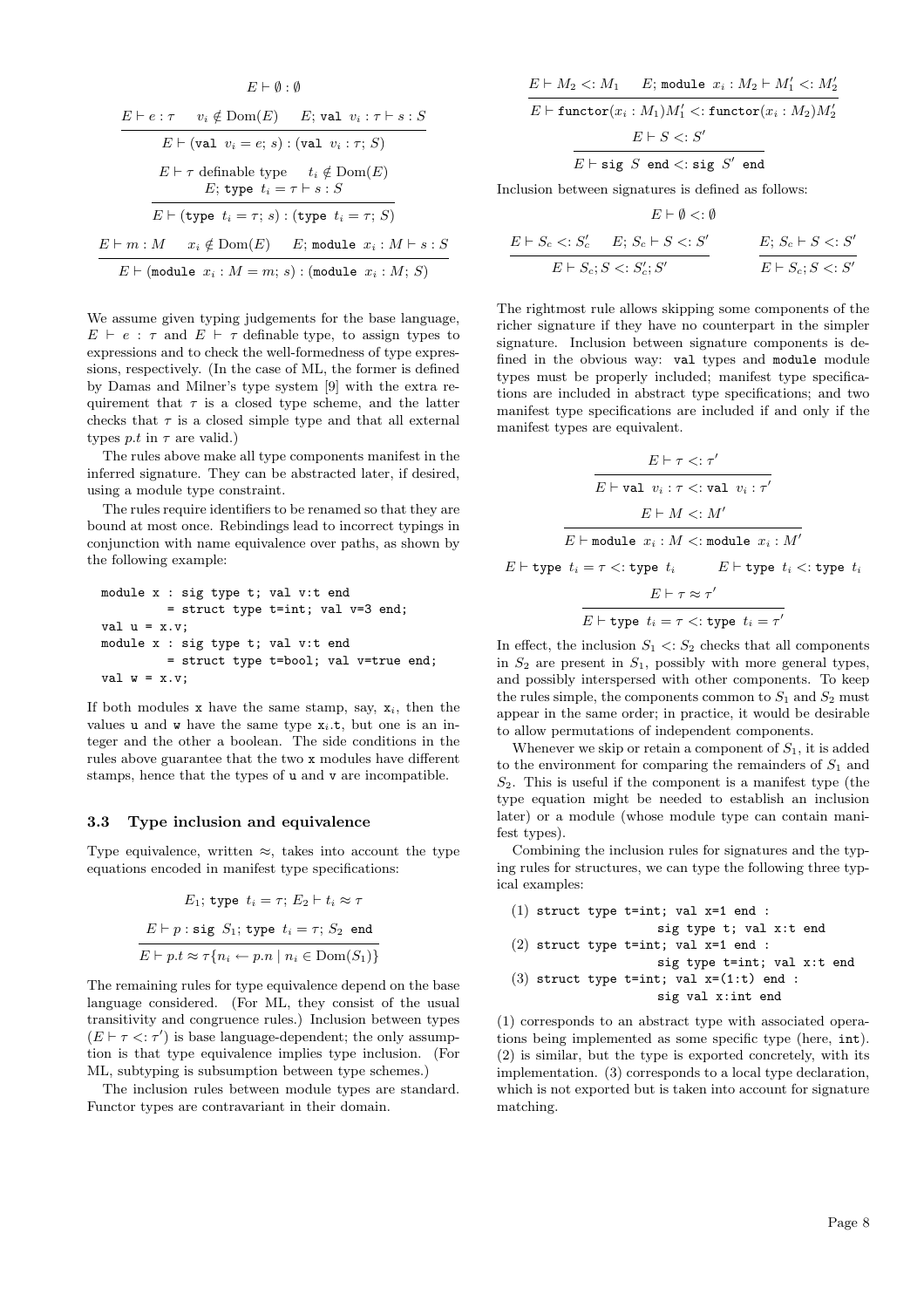$$
E \vdash \emptyset : \emptyset
$$
\n
$$
E \vdash e : \tau \quad v_i \notin \text{Dom}(E) \quad E; \text{ val } v_i : \tau \vdash s : S
$$
\n
$$
E \vdash (\text{val } v_i = e; s) : (\text{val } v_i : \tau; S)
$$
\n
$$
E \vdash \tau \text{ definable type } t_i \notin \text{Dom}(E)
$$
\n
$$
E; \text{ type } t_i = \tau \vdash s : S
$$
\n
$$
E \vdash (\text{type } t_i = \tau; s) : (\text{type } t_i = \tau; S)
$$
\n
$$
E \vdash m : M \quad x_i \notin \text{Dom}(E) \quad E; \text{ module } x_i : M \vdash s : S
$$
\n
$$
E \vdash (\text{module } x_i : M = m; s) : (\text{module } x_i : M; S)
$$

We assume given typing judgements for the base language.  $E \vdash e : \tau$  and  $E \vdash \tau$  definable type, to assign types to expressions and to check the well-formedness of type expressions, respectively. (In the case of ML, the former is defined by Damas and Milner's type system [9] with the extra requirement that  $\tau$  is a closed type scheme, and the latter checks that  $\tau$  is a closed simple type and that all external types p.t in  $\tau$  are valid.)

The rules above make all type components manifest in the inferred signature. They can be abstracted later, if desired, using a module type constraint.

The rules require identifiers to be renamed so that they are bound at most once. Rebindings lead to incorrect typings in conjunction with name equivalence over paths, as shown by the following example:

module x : sig type t; val v:t end = struct type t=int; val v=3 end; val u = x.v; module x : sig type t; val v:t end = struct type t=bool; val v=true end; val w = x.v;

If both modules x have the same stamp, say,  $x_i$ , then the values **u** and **w** have the same type  $x_i$ .**t**, but one is an integer and the other a boolean. The side conditions in the rules above guarantee that the two x modules have different stamps, hence that the types of u and v are incompatible.

#### 3.3 Type inclusion and equivalence

Type equivalence, written  $\approx$ , takes into account the type equations encoded in manifest type specifications:

$$
E_1; \text{ type } t_i = \tau; E_2 \vdash t_i \approx \tau
$$
\n
$$
E \vdash p: \text{sig } S_1; \text{ type } t_i = \tau; S_2 \text{ end}
$$
\n
$$
E \vdash p.t \approx \tau \{ n_i \leftarrow p.n \mid n_i \in \text{Dom}(S_1) \}
$$

The remaining rules for type equivalence depend on the base language considered. (For ML, they consist of the usual transitivity and congruence rules.) Inclusion between types  $(E \vdash \tau \leq : \tau')$  is base language-dependent; the only assumption is that type equivalence implies type inclusion. (For ML, subtyping is subsumption between type schemes.)

The inclusion rules between module types are standard. Functor types are contravariant in their domain.

$$
E \vdash M_2 <: M_1 \quad E; \text{ module } x_i : M_2 \vdash M'_1 <: M'_2
$$
\n
$$
E \vdash \text{functor}(x_i : M_1)M'_1 <: \text{functor}(x_i : M_2)M'_2
$$
\n
$$
E \vdash S <: S'
$$
\n
$$
E \vdash \text{sig } S \text{ end} <: \text{sig } S' \text{ end}
$$

Inclusion between signatures is defined as follows:

$$
E \vdash \emptyset <: \emptyset
$$

$$
\frac{E \vdash S_c <: S'_c \quad E; S_c \vdash S <: S'}{E \vdash S_c; S <: S'_c; S'} \qquad \qquad \frac{E; S_c \vdash S <: S'}{E \vdash S_c; S <: S'}
$$

The rightmost rule allows skipping some components of the richer signature if they have no counterpart in the simpler signature. Inclusion between signature components is defined in the obvious way: val types and module module types must be properly included; manifest type specifications are included in abstract type specifications; and two manifest type specifications are included if and only if the manifest types are equivalent.

$$
\frac{E \vdash \tau <: \tau'}{E \vdash \texttt{val } v_i : \tau <: \texttt{val } v_i : \tau'}
$$
\n
$$
\frac{E \vdash M <: M'}{E \vdash \texttt{module } x_i : M <: \texttt{module } x_i : M'}
$$
\n
$$
E \vdash \texttt{type } t_i = \tau <: \texttt{type } t_i \qquad E \vdash \texttt{type } t_i <: \texttt{type } t_i
$$
\n
$$
\frac{E \vdash \tau \approx \tau'}{E \vdash \tau \approx \tau'}
$$

$$
E \vdash \texttt{type} \ t_i = \tau \mathrel{<:} \texttt{type} \ t_i = \tau'
$$

In effect, the inclusion  $S_1 \leq S_2$  checks that all components in  $S_2$  are present in  $S_1$ , possibly with more general types, and possibly interspersed with other components. To keep the rules simple, the components common to  $S_1$  and  $S_2$  must appear in the same order; in practice, it would be desirable to allow permutations of independent components.

Whenever we skip or retain a component of  $S_1$ , it is added to the environment for comparing the remainders of  $S_1$  and  $S<sub>2</sub>$ . This is useful if the component is a manifest type (the type equation might be needed to establish an inclusion later) or a module (whose module type can contain manifest types).

Combining the inclusion rules for signatures and the typing rules for structures, we can type the following three typical examples:

(1) struct type  $t=int$ ; val  $x=1$  end : sig type t; val x:t end  $(2)$  struct type t=int; val x=1 end : sig type t=int; val x:t end (3) struct type  $t=int$ ; val  $x=(1:t)$  end : sig val x:int end

(1) corresponds to an abstract type with associated operations being implemented as some specific type (here, int). (2) is similar, but the type is exported concretely, with its implementation. (3) corresponds to a local type declaration, which is not exported but is taken into account for signature matching.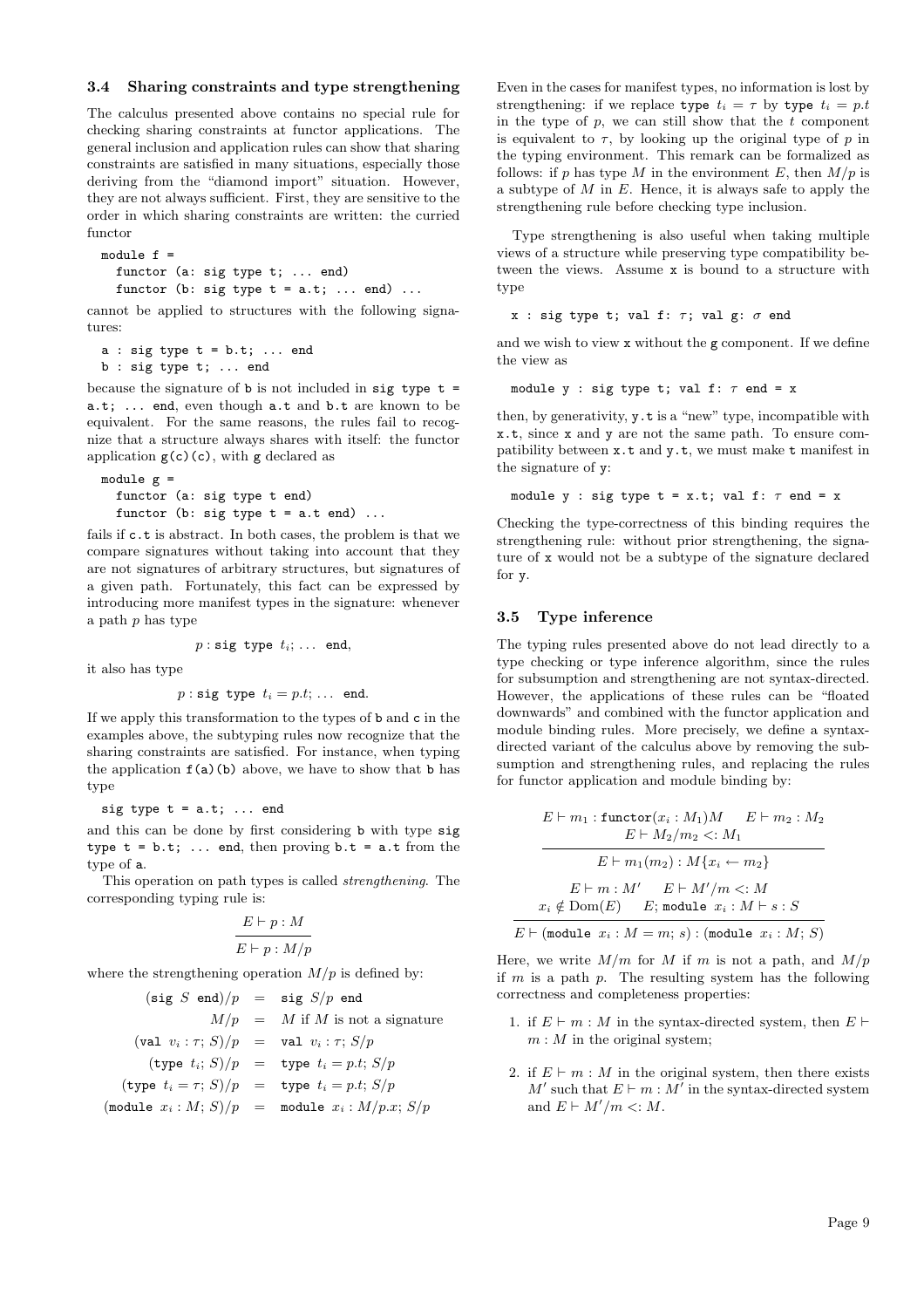### 3.4 Sharing constraints and type strengthening

The calculus presented above contains no special rule for checking sharing constraints at functor applications. The general inclusion and application rules can show that sharing constraints are satisfied in many situations, especially those deriving from the "diamond import" situation. However, they are not always sufficient. First, they are sensitive to the order in which sharing constraints are written: the curried functor

module  $f =$ functor (a: sig type t; ... end) functor (b: sig type  $t = a.t; ... end$ ) ...

cannot be applied to structures with the following signatures:

 $a : sig type t = b.t; ... end$ b : sig type t; ... end

because the signature of  $\mathbf b$  is not included in sig type  $\mathbf t =$ a.t; ... end, even though a.t and b.t are known to be equivalent. For the same reasons, the rules fail to recognize that a structure always shares with itself: the functor application  $g(c)(c)$ , with g declared as

```
module g =
  functor (a: sig type t end)
 functor (b: sig type t = a.t end) ...
```
fails if c.t is abstract. In both cases, the problem is that we compare signatures without taking into account that they are not signatures of arbitrary structures, but signatures of a given path. Fortunately, this fact can be expressed by introducing more manifest types in the signature: whenever a path  $p$  has type

$$
p: \mathtt{sig type} \ t_i; \ \ldots \ \mathtt{end},
$$

it also has type

$$
p: \text{sig type } t_i = p.t; \dots \text{ end.}
$$

If we apply this transformation to the types of b and c in the examples above, the subtyping rules now recognize that the sharing constraints are satisfied. For instance, when typing the application  $f(a)(b)$  above, we have to show that b has type

sig type  $t = a.t; ...$  end

and this can be done by first considering b with type sig type  $t = b.t$ ; ... end, then proving  $b.t = a.t$  from the type of a.

This operation on path types is called strengthening. The corresponding typing rule is:

$$
\frac{E\vdash p:M}{E\vdash p:M/p}
$$

where the strengthening operation  $M/p$  is defined by:

$$
(\text{sig } S \text{ end})/p = \text{sig } S/p \text{ end}
$$
  
\n
$$
M/p = M \text{ if } M \text{ is not a signature}
$$
  
\n
$$
(\text{val } v_i : \tau; S)/p = \text{val } v_i : \tau; S/p
$$
  
\n
$$
(\text{type } t_i; S)/p = \text{type } t_i = p.t; S/p
$$
  
\n
$$
(\text{type } t_i = \tau; S)/p = \text{type } t_i = p.t; S/p
$$
  
\n
$$
(\text{module } x_i : M; S)/p = \text{module } x_i : M/p.x; S/p
$$

Even in the cases for manifest types, no information is lost by strengthening: if we replace type  $t_i = \tau$  by type  $t_i = p.t$ in the type of  $p$ , we can still show that the  $t$  component is equivalent to  $\tau$ , by looking up the original type of p in the typing environment. This remark can be formalized as follows: if p has type M in the environment E, then  $M/p$  is a subtype of  $M$  in  $E$ . Hence, it is always safe to apply the strengthening rule before checking type inclusion.

Type strengthening is also useful when taking multiple views of a structure while preserving type compatibility between the views. Assume x is bound to a structure with type

```
x : sig type t; val f: \tau; val g: \sigma end
```
and we wish to view x without the g component. If we define the view as

module y : sig type t; val f:  $\tau$  end = x

then, by generativity, y.t is a "new" type, incompatible with x.t, since x and y are not the same path. To ensure compatibility between x.t and y.t, we must make t manifest in the signature of y:

```
module y : sig type t = x.t; val f: \tau end = x
```
Checking the type-correctness of this binding requires the strengthening rule: without prior strengthening, the signature of x would not be a subtype of the signature declared for y.

#### 3.5 Type inference

The typing rules presented above do not lead directly to a type checking or type inference algorithm, since the rules for subsumption and strengthening are not syntax-directed. However, the applications of these rules can be "floated downwards" and combined with the functor application and module binding rules. More precisely, we define a syntaxdirected variant of the calculus above by removing the subsumption and strengthening rules, and replacing the rules for functor application and module binding by:

$$
E \vdash m_1 : \text{functor}(x_i : M_1)M \qquad E \vdash m_2 : M_2
$$
\n
$$
E \vdash M_2/m_2 <: M_1
$$
\n
$$
E \vdash m_1(m_2) : M\{x_i \leftarrow m_2\}
$$
\n
$$
E \vdash m : M' \qquad E \vdash M'/m <: M
$$
\n
$$
x_i \notin \text{Dom}(E) \qquad E; \text{ module } x_i : M \vdash s : S
$$
\n
$$
E \vdash (\text{module } x_i : M = m; s) : (\text{module } x_i : M; S)
$$

Here, we write  $M/m$  for M if m is not a path, and  $M/p$ if  $m$  is a path  $p$ . The resulting system has the following correctness and completeness properties:

- 1. if  $E \vdash m : M$  in the syntax-directed system, then  $E \vdash$  $m : M$  in the original system;
- 2. if  $E \vdash m : M$  in the original system, then there exists  $M'$  such that  $E \vdash m : M'$  in the syntax-directed system and  $E \vdash M'/m <: M$ .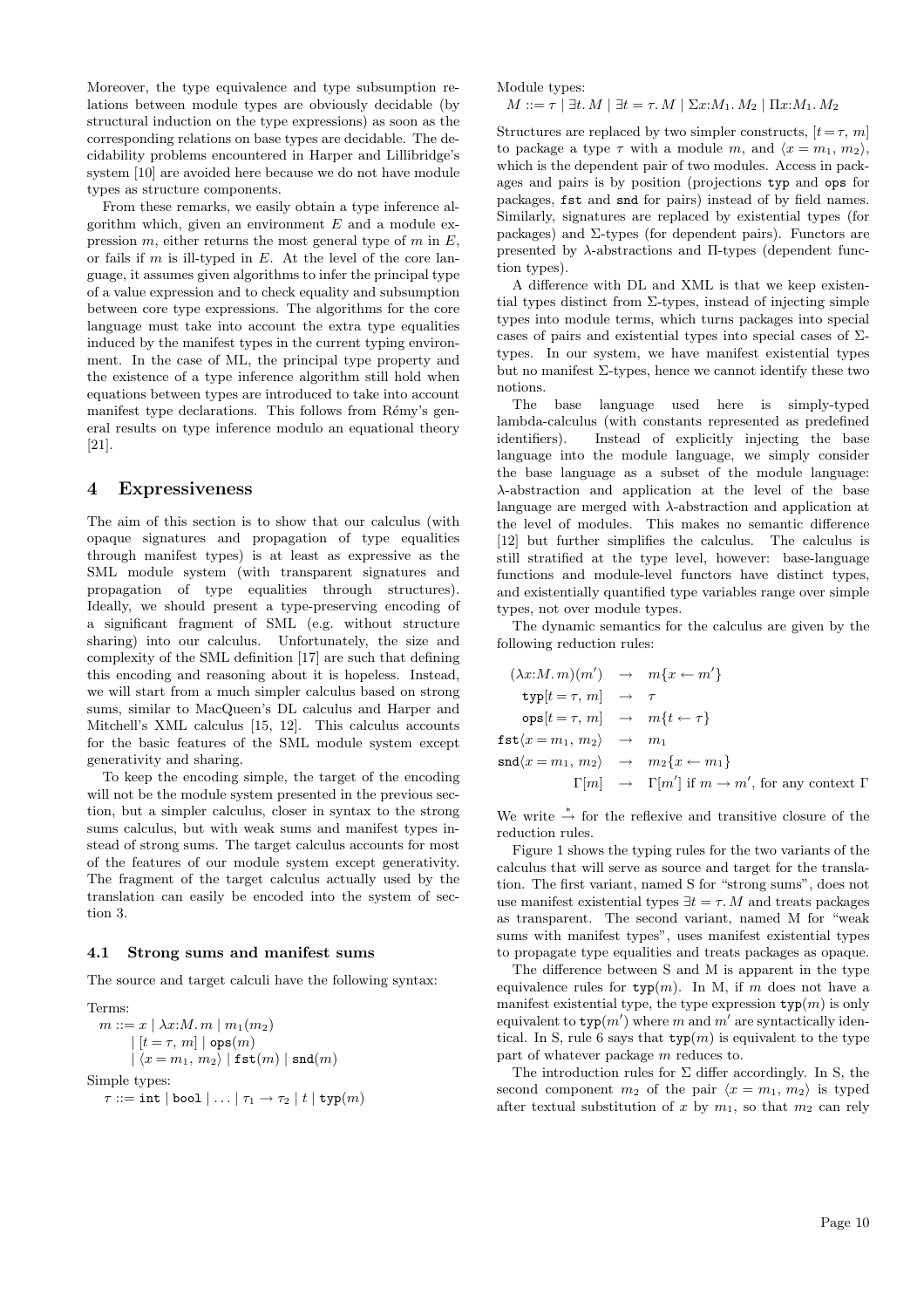Moreover, the type equivalence and type subsumption relations between module types are obviously decidable (by structural induction on the type expressions) as soon as the corresponding relations on base types are decidable. The decidability problems encountered in Harper and Lillibridge's system [10] are avoided here because we do not have module types as structure components.

From these remarks, we easily obtain a type inference algorithm which, given an environment  $E$  and a module expression  $m$ , either returns the most general type of  $m$  in  $E$ , or fails if  $m$  is ill-typed in  $E$ . At the level of the core language, it assumes given algorithms to infer the principal type of a value expression and to check equality and subsumption between core type expressions. The algorithms for the core language must take into account the extra type equalities induced by the manifest types in the current typing environment. In the case of ML, the principal type property and the existence of a type inference algorithm still hold when equations between types are introduced to take into account manifest type declarations. This follows from Rémy's general results on type inference modulo an equational theory [21].

### 4 Expressiveness

The aim of this section is to show that our calculus (with opaque signatures and propagation of type equalities through manifest types) is at least as expressive as the SML module system (with transparent signatures and propagation of type equalities through structures). Ideally, we should present a type-preserving encoding of a significant fragment of SML (e.g. without structure sharing) into our calculus. Unfortunately, the size and complexity of the SML definition [17] are such that defining this encoding and reasoning about it is hopeless. Instead, we will start from a much simpler calculus based on strong sums, similar to MacQueen's DL calculus and Harper and Mitchell's XML calculus [15, 12]. This calculus accounts for the basic features of the SML module system except generativity and sharing.

To keep the encoding simple, the target of the encoding will not be the module system presented in the previous section, but a simpler calculus, closer in syntax to the strong sums calculus, but with weak sums and manifest types instead of strong sums. The target calculus accounts for most of the features of our module system except generativity. The fragment of the target calculus actually used by the translation can easily be encoded into the system of section 3.

#### 4.1 Strong sums and manifest sums

The source and target calculi have the following syntax:

Terms:  $m ::= x \mid \lambda x : M. m \mid m_1(m_2)$  $| [t = \tau, m] |$  ops $(m)$  $|\langle x = m_1, m_2 \rangle|$  fst $(m)$  | snd $(m)$ Simple types:  $\tau ::= \text{int} | \text{bool} | \dots | \tau_1 \rightarrow \tau_2 | t | \text{typ}(m)$  Module types:

 $M ::= \tau | \exists t. M | \exists t = \tau. M | \Sigma x : M_1. M_2 | \Pi x : M_1. M_2$ 

Structures are replaced by two simpler constructs,  $[t=\tau, m]$ to package a type  $\tau$  with a module m, and  $\langle x = m_1, m_2 \rangle$ , which is the dependent pair of two modules. Access in packages and pairs is by position (projections typ and ops for packages, fst and snd for pairs) instead of by field names. Similarly, signatures are replaced by existential types (for packages) and  $\Sigma$ -types (for dependent pairs). Functors are presented by  $\lambda$ -abstractions and  $\Pi$ -types (dependent function types).

A difference with DL and XML is that we keep existential types distinct from  $\Sigma$ -types, instead of injecting simple types into module terms, which turns packages into special cases of pairs and existential types into special cases of  $\Sigma$ types. In our system, we have manifest existential types but no manifest  $\Sigma$ -types, hence we cannot identify these two notions.

The base language used here is simply-typed lambda-calculus (with constants represented as predefined identifiers). Instead of explicitly injecting the base language into the module language, we simply consider the base language as a subset of the module language: λ-abstraction and application at the level of the base language are merged with λ-abstraction and application at the level of modules. This makes no semantic difference [12] but further simplifies the calculus. The calculus is still stratified at the type level, however: base-language functions and module-level functors have distinct types, and existentially quantified type variables range over simple types, not over module types.

The dynamic semantics for the calculus are given by the following reduction rules:

$$
(\lambda x:M. m)(m') \rightarrow m\{x \leftarrow m'\}
$$
  
\n
$$
\text{typ}[t = \tau, m] \rightarrow \tau
$$
  
\n
$$
\text{ops}[t = \tau, m] \rightarrow m\{t \leftarrow \tau\}
$$
  
\n
$$
\text{fst}(x = m_1, m_2) \rightarrow m_1
$$
  
\n
$$
\text{snd}(x = m_1, m_2) \rightarrow m_2\{x \leftarrow m_1\}
$$
  
\n
$$
\Gamma[m] \rightarrow \Gamma[m'] \text{ if } m \rightarrow m', \text{ for any context } \Gamma
$$

We write  $\stackrel{*}{\rightarrow}$  for the reflexive and transitive closure of the reduction rules.

Figure 1 shows the typing rules for the two variants of the calculus that will serve as source and target for the translation. The first variant, named S for "strong sums", does not use manifest existential types  $\exists t = \tau$ . M and treats packages as transparent. The second variant, named M for "weak sums with manifest types", uses manifest existential types to propagate type equalities and treats packages as opaque.

The difference between S and M is apparent in the type equivalence rules for  $\text{typ}(m)$ . In M, if m does not have a manifest existential type, the type expression  $\text{typ}(m)$  is only equivalent to  $\text{typ}(m')$  where m and m' are syntactically identical. In S, rule 6 says that  $\text{typ}(m)$  is equivalent to the type part of whatever package m reduces to.

The introduction rules for  $\Sigma$  differ accordingly. In S, the second component  $m_2$  of the pair  $\langle x = m_1, m_2 \rangle$  is typed after textual substitution of x by  $m_1$ , so that  $m_2$  can rely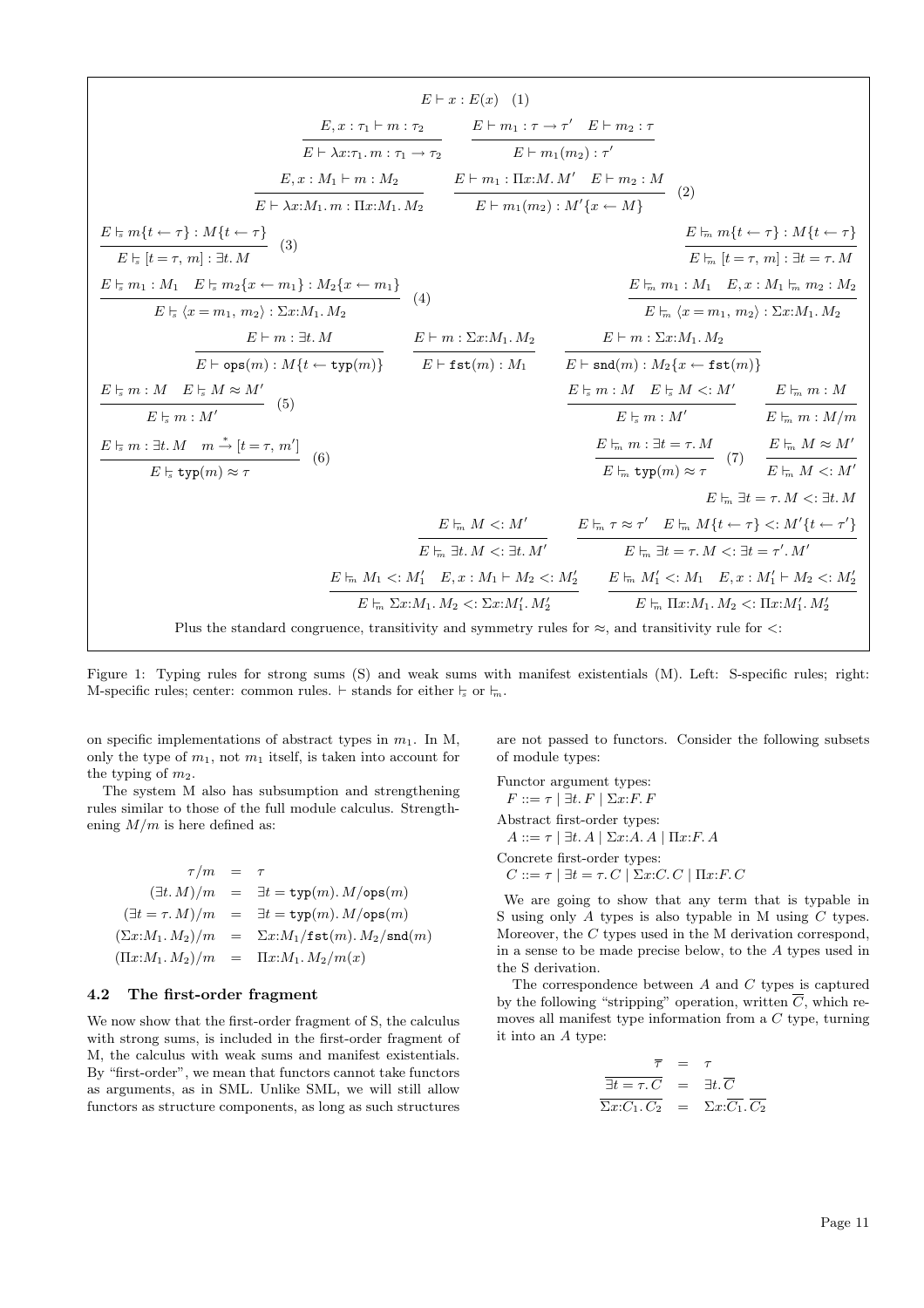$$
E \vdash x : E(x) (1)
$$
\n
$$
E \vdash x : E(x) (1)
$$
\n
$$
E \vdash x : E(x) (1)
$$
\n
$$
E \vdash x : \pi_1 \vdash m : \tau_2
$$
\n
$$
E \vdash m_1 : \tau \to \tau' \quad E \vdash m_2 : \tau
$$
\n
$$
E \vdash m_1(m_2) : \tau' \quad E \vdash m_2 : M
$$
\n
$$
E \vdash m_1(t \leftrightarrow \tau) : M\{t \leftrightarrow \tau\}
$$
\n
$$
E \vdash \pi_1(t \leftrightarrow \tau) : M\{t \leftrightarrow \tau\}
$$
\n
$$
E \vdash \pi_2(t \leftrightarrow m_1) : M_2(t \leftrightarrow m_1) : M_2(t \leftrightarrow m_1) \quad E \vdash m_1(m_2) : M'\{x \leftrightarrow M\}
$$
\n
$$
E \vdash m_1(t \leftrightarrow \tau) : M\{t \leftrightarrow \tau\}
$$
\n
$$
E \vdash m_1 : M_1 \quad E \vdash x : M_2(t \leftrightarrow m_1) : M_2(t \leftrightarrow m_1) \quad (4)
$$
\n
$$
E \vdash m : \exists t. M \quad E \vdash m : \exists t. M \quad E \vdash m : \exists t. M \quad E \vdash m : \exists t. M \land B \vdash m : \exists t. M \land B \vdash m : \exists t. M \land B \vdash m : \exists t. M \land B \vdash m : \exists t. M \land B \vdash m : \exists t. M \land B \vdash m : \exists t. M \land B \vdash m : \exists t. M \land B \vdash m : \exists t. M \land B \vdash m : \exists t. M \land B \vdash m : \exists t. M \land B \vdash m : \exists t. M \land B \vdash m : \exists t. M \land B \vdash m : \exists t. M \land B \vdash m : \exists t. M \land B \vdash m : \exists t. M \land B \vdash m : \exists t. M \land B \vdash m : \exists t. M \land B \vdash m : \exists t. M \land B \vdash m : \exists t. M \land B \vdash m : \exists t. M \land B \vdash m : \exists t. M \land B \vdash m : \exists t. M \land B \vdash m : \exists t. M \land B \vdash m : \exists t. M \land B \vdash m : \
$$

Figure 1: Typing rules for strong sums (S) and weak sums with manifest existentials (M). Left: S-specific rules; right: M-specific rules; center: common rules.  $\vdash$  stands for either  $\vdash$  or  $\vdash$ <sub>m</sub>.

on specific implementations of abstract types in  $m_1$ . In M, only the type of  $m_1$ , not  $m_1$  itself, is taken into account for the typing of  $m_2$ .

The system M also has subsumption and strengthening rules similar to those of the full module calculus. Strengthening  $M/m$  is here defined as:

$$
\tau/m = \tau
$$
  
\n
$$
(\exists t. M)/m = \exists t = \text{typ}(m). M/\text{ops}(m)
$$
  
\n
$$
(\exists t = \tau. M)/m = \exists t = \text{typ}(m). M/\text{ops}(m)
$$
  
\n
$$
(\Sigma x: M_1. M_2)/m = \Sigma x: M_1/\text{fst}(m). M_2/\text{snd}(m)
$$
  
\n
$$
(\Pi x: M_1. M_2)/m = \Pi x: M_1. M_2/m(x)
$$

### 4.2 The first-order fragment

We now show that the first-order fragment of S, the calculus with strong sums, is included in the first-order fragment of M, the calculus with weak sums and manifest existentials. By "first-order", we mean that functors cannot take functors as arguments, as in SML. Unlike SML, we will still allow functors as structure components, as long as such structures are not passed to functors. Consider the following subsets of module types:

Functor argument types:  $F ::= \tau \mid \exists t. F \mid \Sigma x: F. F$ Abstract first-order types:  $A ::= \tau \mid \exists t. A \mid \Sigma x:A. A \mid \Pi x: F. A$ Concrete first-order types:  $C ::= \tau \mid \exists t = \tau. C \mid \Sigma x : C. C \mid \Pi x : F. C$ 

We are going to show that any term that is typable in S using only A types is also typable in M using C types. Moreover, the C types used in the M derivation correspond, in a sense to be made precise below, to the A types used in the S derivation.

The correspondence between  $A$  and  $C$  types is captured by the following "stripping" operation, written  $\overline{C}$ , which removes all manifest type information from a C type, turning it into an A type:

$$
\overline{\tau} = \tau
$$
  

$$
\overline{\exists t = \tau . C} = \exists t . \overline{C}
$$
  

$$
\overline{\Sigma x : C_1 . C_2} = \Sigma x : \overline{C_1} . \overline{C_2}
$$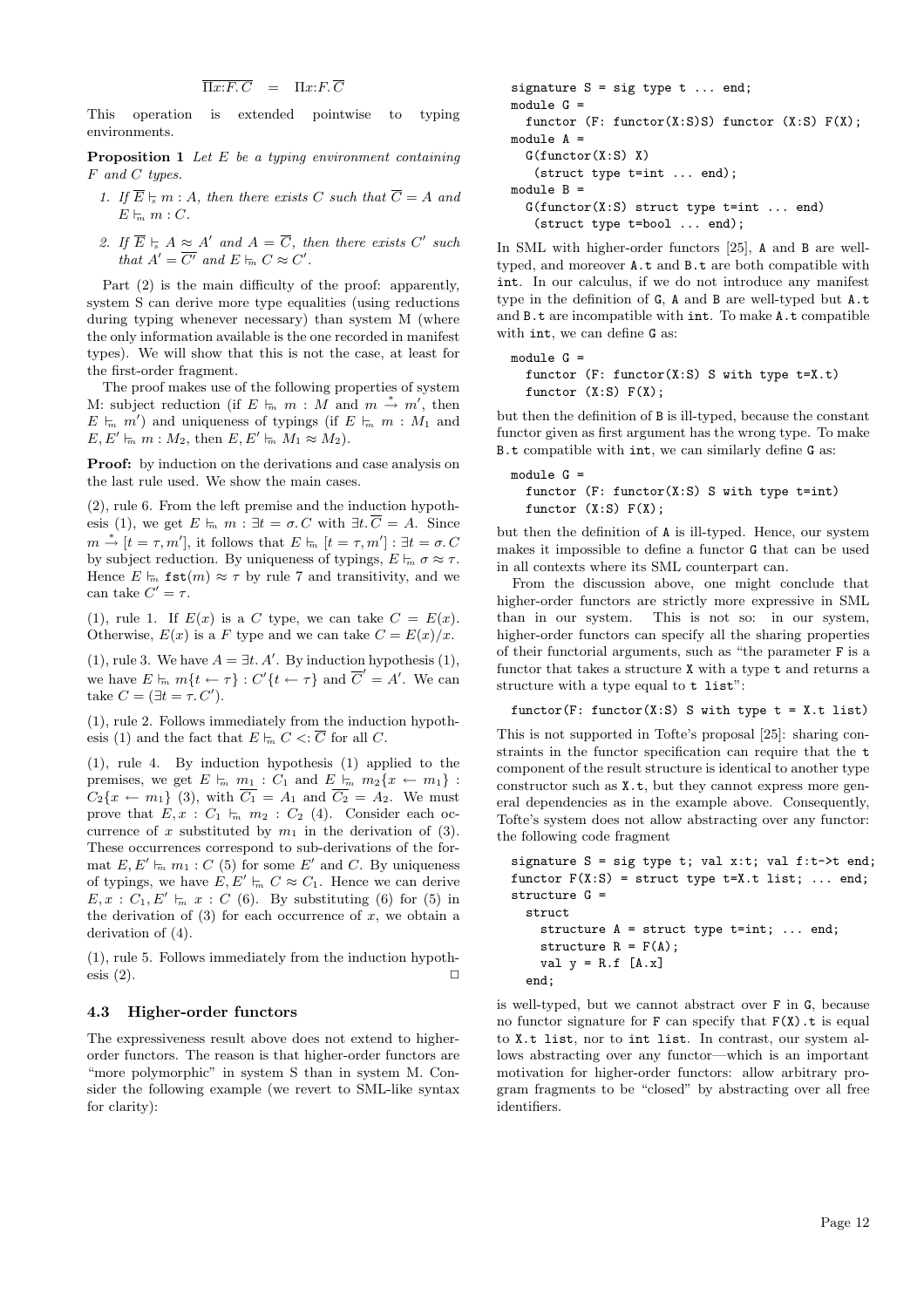$\overline{\Pi x{:}F.\,C} \quad = \quad \Pi x{:}F.\,\overline{C}$ 

This operation is extended pointwise to typing environments.

**Proposition 1** Let  $E$  be a typing environment containing F and C types.

- 1. If  $\overline{E} \models m : A$ , then there exists C such that  $\overline{C} = A$  and  $E \models_m m : C$ .
- 2. If  $\overline{E} \models A \approx A'$  and  $A = \overline{C}$ , then there exists  $C'$  such that  $A' = \overline{C'}$  and  $E \models_n C \approx C'.$

Part (2) is the main difficulty of the proof: apparently, system S can derive more type equalities (using reductions during typing whenever necessary) than system M (where the only information available is the one recorded in manifest types). We will show that this is not the case, at least for the first-order fragment.

The proof makes use of the following properties of system M: subject reduction (if  $E \models_m m : \overline{M}$  and  $m \stackrel{*}{\rightarrow} m'$ , then  $E \models_m m'$  and uniqueness of typings (if  $E \models_m m : M_1$  and  $E, E' \models_m m : M_2$ , then  $E, E' \models_m M_1 \approx M_2$ .

Proof: by induction on the derivations and case analysis on the last rule used. We show the main cases.

(2), rule 6. From the left premise and the induction hypothesis (1), we get  $E \models_m m : \exists t = \sigma \ldotp C$  with  $\exists t \ldotp \overline{C} = A$ . Since  $m \stackrel{*}{\rightarrow} [t = \tau, m'],$  it follows that  $E \models_m [t = \tau, m'] : \exists t = \sigma. C$ by subject reduction. By uniqueness of typings,  $E \vDash_{m} \sigma \approx \tau$ . Hence  $E \models_m \texttt{fst}(m) \approx \tau$  by rule 7 and transitivity, and we can take  $C' = \tau$ .

(1), rule 1. If  $E(x)$  is a C type, we can take  $C = E(x)$ . Otherwise,  $E(x)$  is a F type and we can take  $C = E(x)/x$ .

(1), rule 3. We have  $A = \exists t. A'.$  By induction hypothesis (1), we have  $E \vdash_m m\{t \leftarrow \tau\} : C'\{t \leftarrow \tau\}$  and  $\overline{C}' = A'$ . We can take  $C = (\exists t = \tau \ldotp C').$ 

(1), rule 2. Follows immediately from the induction hypothesis (1) and the fact that  $E \vDash_{m} C < : \overline{C}$  for all C.

(1), rule 4. By induction hypothesis (1) applied to the premises, we get  $E \models_m m_1 : C_1$  and  $E \models_m m_2\{x \leftarrow m_1\}$ :  $C_2\{x \leftarrow m_1\}$  (3), with  $\overline{C_1} = A_1$  and  $\overline{C_2} = A_2$ . We must prove that  $E, x : C_1 \models_m m_2 : C_2 (4)$ . Consider each occurrence of x substituted by  $m_1$  in the derivation of (3). These occurrences correspond to sub-derivations of the format  $E, E' \models_n m_1 : C$  (5) for some E' and C. By uniqueness of typings, we have  $E, E' \vdash_n C \approx C_1$ . Hence we can derive  $E, x : C_1, E' \models_n x : C$  (6). By substituting (6) for (5) in the derivation of  $(3)$  for each occurrence of x, we obtain a derivation of  $(4)$ .

(1), rule 5. Follows immediately from the induction hypothesis  $(2)$ .

### 4.3 Higher-order functors

The expressiveness result above does not extend to higherorder functors. The reason is that higher-order functors are "more polymorphic" in system S than in system M. Consider the following example (we revert to SML-like syntax for clarity):

```
signature S = sig type t ... end;module G =
  functor (F: function(X:S)S) functor (X:S) F(X);module A =G(functor(X:S) X)(struct type t=int ... end);
module B =
  G(functor(X:S) struct type t=int ... end)
   (struct type t=bool ... end);
```
In SML with higher-order functors [25], A and B are welltyped, and moreover A.t and B.t are both compatible with int. In our calculus, if we do not introduce any manifest type in the definition of G, A and B are well-typed but A.t and B.t are incompatible with int. To make A.t compatible with int, we can define G as:

```
module G =
  functor (F: function(X:S) S with type t=X.t)functor (X: S) F(X);
```
but then the definition of B is ill-typed, because the constant functor given as first argument has the wrong type. To make B.t compatible with int, we can similarly define G as:

```
module G =functor (F: functor(X:S) S with type t=int)
 functor (X:S) F(X);
```
but then the definition of A is ill-typed. Hence, our system makes it impossible to define a functor G that can be used in all contexts where its SML counterpart can.

From the discussion above, one might conclude that higher-order functors are strictly more expressive in SML than in our system. This is not so: in our system, higher-order functors can specify all the sharing properties of their functorial arguments, such as "the parameter F is a functor that takes a structure X with a type t and returns a structure with a type equal to t list":

functor(F: functor(X:S) S with type  $t = X.t$  list)

This is not supported in Tofte's proposal [25]: sharing constraints in the functor specification can require that the t component of the result structure is identical to another type constructor such as  $X.t$ , but they cannot express more general dependencies as in the example above. Consequently, Tofte's system does not allow abstracting over any functor: the following code fragment

signature  $S = sig type t$ ; val x:t; val f:t->t end; functor  $F(X:S)$  = struct type  $t=X.t$  list; ... end; structure G = struct structure A = struct type t=int; ... end; structure  $R = F(A)$ ; val  $y = R.f$  [A.x] end;

is well-typed, but we cannot abstract over F in G, because no functor signature for  $F$  can specify that  $F(X)$ .t is equal to X.t list, nor to int list. In contrast, our system allows abstracting over any functor—which is an important motivation for higher-order functors: allow arbitrary program fragments to be "closed" by abstracting over all free identifiers.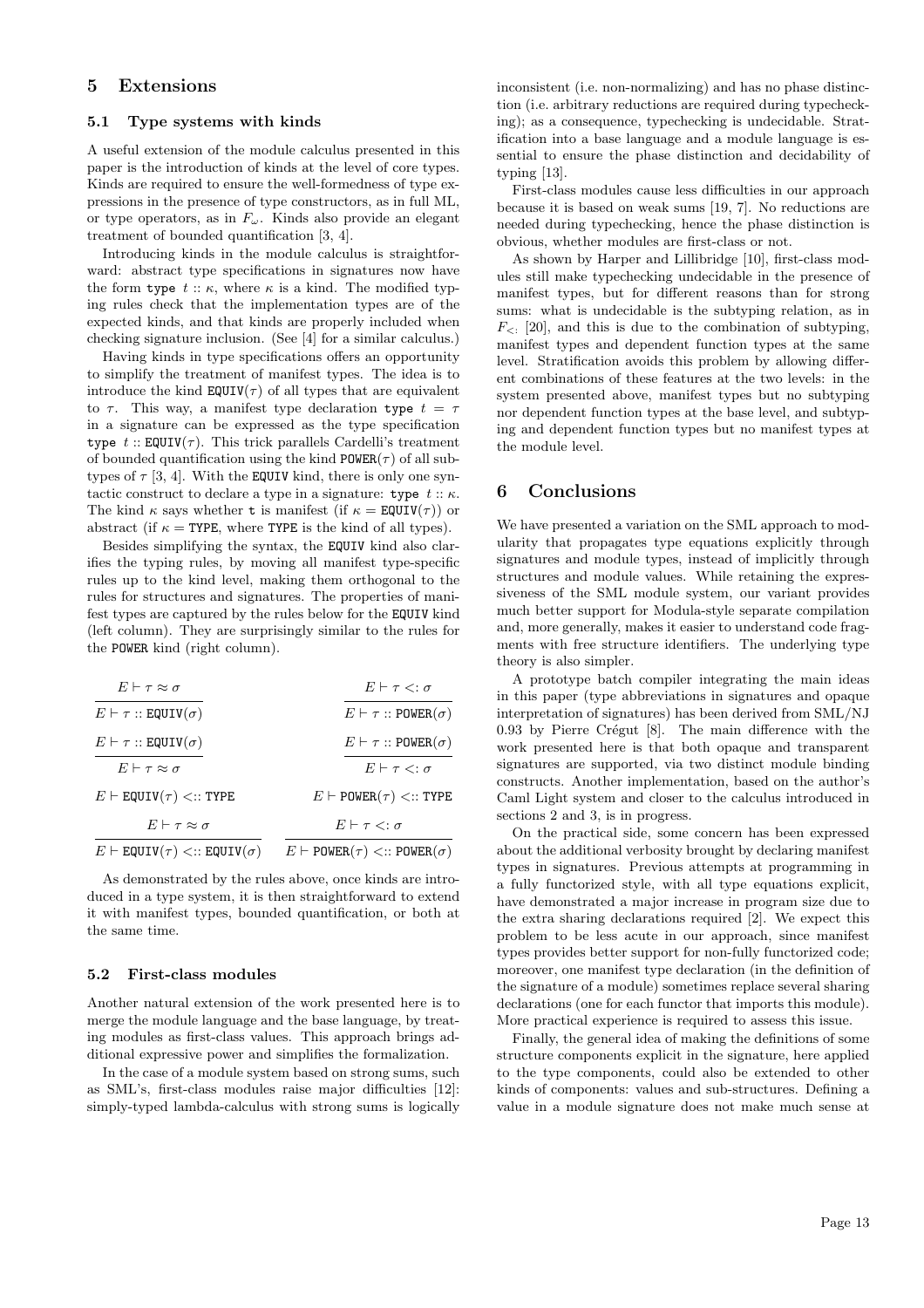### 5 Extensions

### 5.1 Type systems with kinds

A useful extension of the module calculus presented in this paper is the introduction of kinds at the level of core types. Kinds are required to ensure the well-formedness of type expressions in the presence of type constructors, as in full ML, or type operators, as in  $F_{\omega}$ . Kinds also provide an elegant treatment of bounded quantification [3, 4].

Introducing kinds in the module calculus is straightforward: abstract type specifications in signatures now have the form type  $t :: \kappa$ , where  $\kappa$  is a kind. The modified typing rules check that the implementation types are of the expected kinds, and that kinds are properly included when checking signature inclusion. (See [4] for a similar calculus.)

Having kinds in type specifications offers an opportunity to simplify the treatment of manifest types. The idea is to introduce the kind  $\text{EQUIV}(\tau)$  of all types that are equivalent to  $\tau$ . This way, a manifest type declaration type  $t = \tau$ in a signature can be expressed as the type specification type  $t$  :: EQUIV( $\tau$ ). This trick parallels Cardelli's treatment of bounded quantification using the kind  $POWER(\tau)$  of all subtypes of  $\tau$  [3, 4]. With the EQUIV kind, there is only one syntactic construct to declare a type in a signature: type  $t :: \kappa$ . The kind  $\kappa$  says whether **t** is manifest (if  $\kappa = \text{EQUIV}(\tau)$ ) or abstract (if  $\kappa =$  TYPE, where TYPE is the kind of all types).

Besides simplifying the syntax, the EQUIV kind also clarifies the typing rules, by moving all manifest type-specific rules up to the kind level, making them orthogonal to the rules for structures and signatures. The properties of manifest types are captured by the rules below for the EQUIV kind (left column). They are surprisingly similar to the rules for the POWER kind (right column).

| $E \vdash \tau \approx \sigma$                  | $E \vdash \tau \lt: : \sigma$                  |
|-------------------------------------------------|------------------------------------------------|
| $E \vdash \tau ::$ EQUIV $(\sigma)$             | $E \vdash \tau :: \text{POWER}(\sigma)$        |
| $E \vdash \tau ::$ EQUIV( $\sigma$ )            | $E \vdash \tau :: \text{POWER}(\sigma)$        |
| $E \vdash \tau \approx \sigma$                  | $E \vdash \tau \lt: : \sigma$                  |
| $E \vdash$ EQUIV $(\tau)$ <:: TYPE              | $E \vdash$ POWER $(\tau)$ <:: TYPE             |
| $E \vdash \tau \approx \sigma$                  | $E \vdash \tau \lt: \tau$                      |
| $E \vdash$ EQUIV $(\tau) <$ :: EQUIV $(\sigma)$ | $E \vdash$ POWER $(\tau)$ <:: POWER $(\sigma)$ |
|                                                 |                                                |

As demonstrated by the rules above, once kinds are introduced in a type system, it is then straightforward to extend it with manifest types, bounded quantification, or both at the same time.

### 5.2 First-class modules

Another natural extension of the work presented here is to merge the module language and the base language, by treating modules as first-class values. This approach brings additional expressive power and simplifies the formalization.

In the case of a module system based on strong sums, such as SML's, first-class modules raise major difficulties [12]: simply-typed lambda-calculus with strong sums is logically

inconsistent (i.e. non-normalizing) and has no phase distinction (i.e. arbitrary reductions are required during typechecking); as a consequence, typechecking is undecidable. Stratification into a base language and a module language is essential to ensure the phase distinction and decidability of typing [13].

First-class modules cause less difficulties in our approach because it is based on weak sums [19, 7]. No reductions are needed during typechecking, hence the phase distinction is obvious, whether modules are first-class or not.

As shown by Harper and Lillibridge [10], first-class modules still make typechecking undecidable in the presence of manifest types, but for different reasons than for strong sums: what is undecidable is the subtyping relation, as in  $F_{\leq 1}$  [20], and this is due to the combination of subtyping, manifest types and dependent function types at the same level. Stratification avoids this problem by allowing different combinations of these features at the two levels: in the system presented above, manifest types but no subtyping nor dependent function types at the base level, and subtyping and dependent function types but no manifest types at the module level.

### 6 Conclusions

We have presented a variation on the SML approach to modularity that propagates type equations explicitly through signatures and module types, instead of implicitly through structures and module values. While retaining the expressiveness of the SML module system, our variant provides much better support for Modula-style separate compilation and, more generally, makes it easier to understand code fragments with free structure identifiers. The underlying type theory is also simpler.

A prototype batch compiler integrating the main ideas in this paper (type abbreviations in signatures and opaque interpretation of signatures) has been derived from SML/NJ  $0.93$  by Pierre Crégut [8]. The main difference with the work presented here is that both opaque and transparent signatures are supported, via two distinct module binding constructs. Another implementation, based on the author's Caml Light system and closer to the calculus introduced in sections 2 and 3, is in progress.

On the practical side, some concern has been expressed about the additional verbosity brought by declaring manifest types in signatures. Previous attempts at programming in a fully functorized style, with all type equations explicit, have demonstrated a major increase in program size due to the extra sharing declarations required [2]. We expect this problem to be less acute in our approach, since manifest types provides better support for non-fully functorized code; moreover, one manifest type declaration (in the definition of the signature of a module) sometimes replace several sharing declarations (one for each functor that imports this module). More practical experience is required to assess this issue.

Finally, the general idea of making the definitions of some structure components explicit in the signature, here applied to the type components, could also be extended to other kinds of components: values and sub-structures. Defining a value in a module signature does not make much sense at